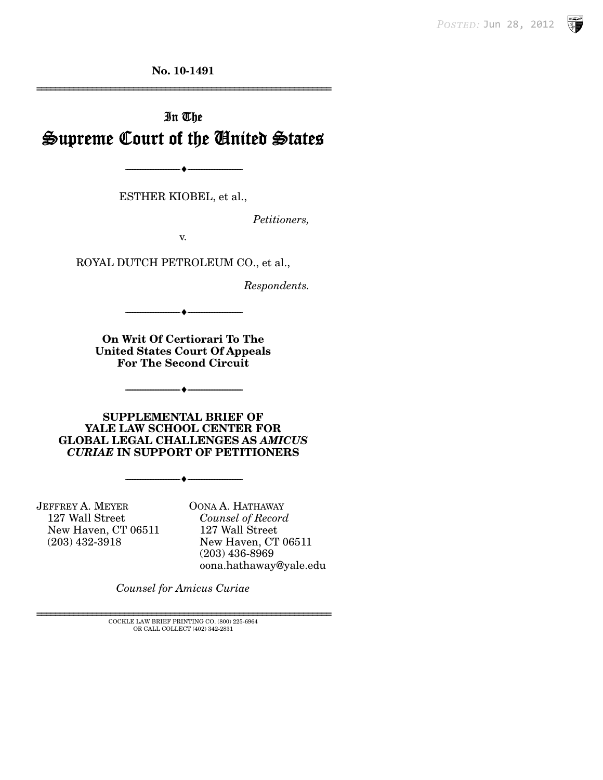**No. 10-1491** 

# In The Supreme Court of the United States

--------------------------------- i ---------------------------------

ESTHER KIOBEL, et al.,

*Petitioners,* 

================================================================

v.

ROYAL DUTCH PETROLEUM CO., et al.,

*Respondents.* 

**On Writ Of Certiorari To The United States Court Of Appeals For The Second Circuit** 

--------------------------------- i ---------------------------------

--------------------------------- i ---------------------------------

**SUPPLEMENTAL BRIEF OF YALE LAW SCHOOL CENTER FOR GLOBAL LEGAL CHALLENGES AS** *AMICUS CURIAE* **IN SUPPORT OF PETITIONERS** 

--------------------------------- i ---------------------------------

JEFFREY A. MEYER 127 Wall Street New Haven, CT 06511 (203) 432-3918

OONA A. HATHAWAY *Counsel of Record*  127 Wall Street New Haven, CT 06511 (203) 436-8969 oona.hathaway@yale.edu

*Counsel for Amicus Curiae* 

 $\rm COCKLE$  LAW BRIEF PRINTING CO. (800) 225-6964 OR CALL COLLECT (402) 342-2831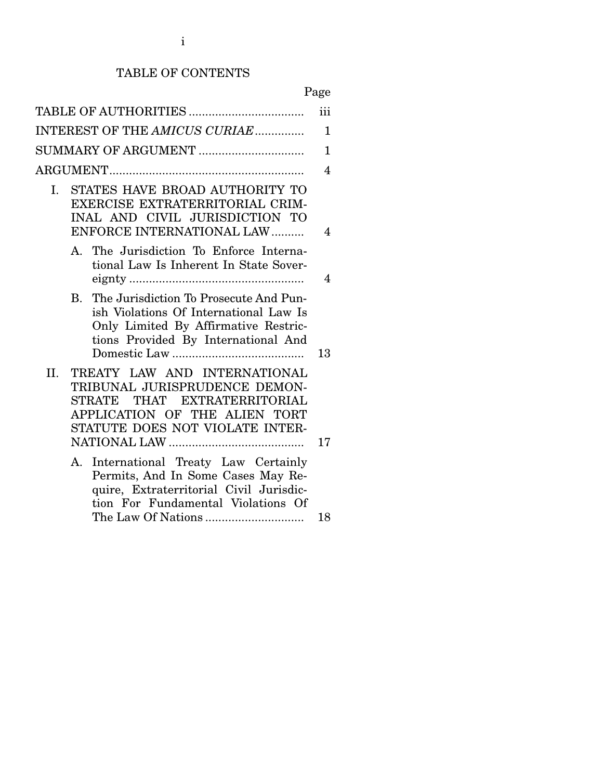### TABLE OF CONTENTS

|     |                                                                                                                                                                             | iii          |
|-----|-----------------------------------------------------------------------------------------------------------------------------------------------------------------------------|--------------|
|     | INTEREST OF THE AMICUS CURIAE                                                                                                                                               | $\mathbf{1}$ |
|     | SUMMARY OF ARGUMENT                                                                                                                                                         | $\mathbf{1}$ |
|     |                                                                                                                                                                             | 4            |
| I.  | STATES HAVE BROAD AUTHORITY TO<br>EXERCISE EXTRATERRITORIAL CRIM-<br>INAL AND CIVIL JURISDICTION TO<br>ENFORCE INTERNATIONAL LAW                                            | 4            |
|     | The Jurisdiction To Enforce Interna-<br>A.<br>tional Law Is Inherent In State Sover-                                                                                        | 4            |
|     | The Jurisdiction To Prosecute And Pun-<br>$\bf{B}$<br>ish Violations Of International Law Is<br>Only Limited By Affirmative Restric-<br>tions Provided By International And | 13           |
| II. | TREATY LAW AND INTERNATIONAL<br>TRIBUNAL JURISPRUDENCE DEMON-<br>STRATE THAT EXTRATERRITORIAL<br>APPLICATION OF THE ALIEN TORT<br>STATUTE DOES NOT VIOLATE INTER-           | 17           |
|     | International Treaty Law Certainly<br>А.<br>Permits, And In Some Cases May Re-<br>quire, Extraterritorial Civil Jurisdic-<br>tion For Fundamental Violations Of             |              |
|     |                                                                                                                                                                             | 18           |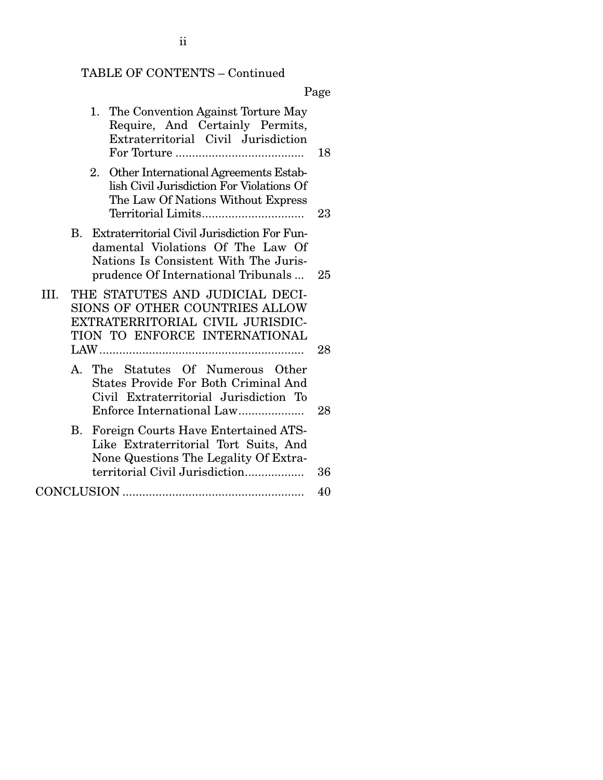# TABLE OF CONTENTS – Continued

Page

| 1. The Convention Against Torture May<br>Require, And Certainly Permits,<br>Extraterritorial Civil Jurisdiction                                                      | 18 |
|----------------------------------------------------------------------------------------------------------------------------------------------------------------------|----|
| 2. Other International Agreements Estab-<br>lish Civil Jurisdiction For Violations Of<br>The Law Of Nations Without Express                                          | 23 |
| B. Extraterritorial Civil Jurisdiction For Fun-<br>damental Violations Of The Law Of<br>Nations Is Consistent With The Juris-<br>prudence Of International Tribunals | 25 |
| THE STATUTES AND JUDICIAL DECI-<br>III.<br>SIONS OF OTHER COUNTRIES ALLOW<br>EXTRATERRITORIAL CIVIL JURISDIC-<br>TION TO ENFORCE INTERNATIONAL                       | 28 |
| A. The Statutes Of Numerous Other<br>States Provide For Both Criminal And<br>Civil Extraterritorial Jurisdiction To<br>Enforce International Law                     | 28 |
| Foreign Courts Have Entertained ATS-<br>В.<br>Like Extraterritorial Tort Suits, And<br>None Questions The Legality Of Extra-<br>territorial Civil Jurisdiction       | 36 |
|                                                                                                                                                                      | 40 |

# ii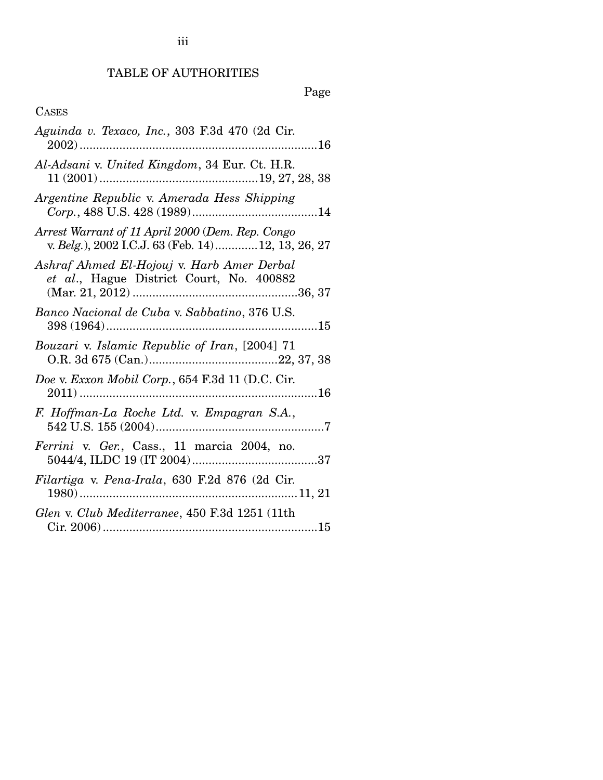## TABLE OF AUTHORITIES

## Page

## CASES

| Aguinda v. Texaco, Inc., 303 F.3d 470 (2d Cir.                                                        |
|-------------------------------------------------------------------------------------------------------|
| Al-Adsani v. United Kingdom, 34 Eur. Ct. H.R.                                                         |
| Argentine Republic v. Amerada Hess Shipping                                                           |
| Arrest Warrant of 11 April 2000 (Dem. Rep. Congo<br>v. Belg.), 2002 I.C.J. 63 (Feb. 14)12, 13, 26, 27 |
| Ashraf Ahmed El-Hojouj v. Harb Amer Derbal<br>et al., Hague District Court, No. 400882                |
| Banco Nacional de Cuba v. Sabbatino, 376 U.S.                                                         |
| Bouzari v. Islamic Republic of Iran, [2004] 71                                                        |
| Doe v. Exxon Mobil Corp., 654 F.3d 11 (D.C. Cir.                                                      |
| F. Hoffman-La Roche Ltd. v. Empagran S.A.,                                                            |
| Ferrini v. Ger., Cass., 11 marcia 2004, no.                                                           |
| Filartiga v. Pena-Irala, 630 F.2d 876 (2d Cir.                                                        |
| Glen v. Club Mediterranee, 450 F.3d 1251 (11th                                                        |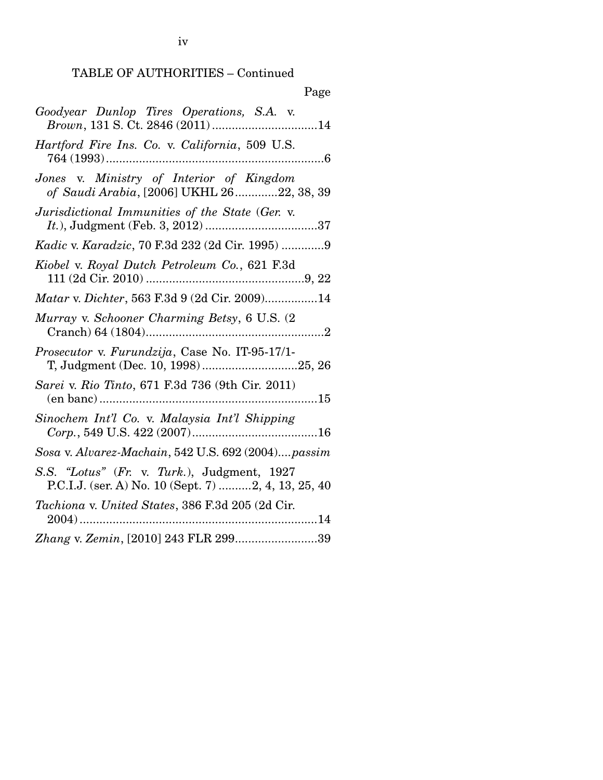### TABLE OF AUTHORITIES – Continued

| Page                                                                                               |
|----------------------------------------------------------------------------------------------------|
| Goodyear Dunlop Tires Operations, S.A. v.<br>Brown, 131 S. Ct. 2846 (2011) 14                      |
| Hartford Fire Ins. Co. v. California, 509 U.S.                                                     |
| Jones v. Ministry of Interior of Kingdom<br>of Saudi Arabia, [2006] UKHL 2622, 38, 39              |
| Jurisdictional Immunities of the State (Ger. v.                                                    |
| Kadic v. Karadzic, 70 F.3d 232 (2d Cir. 1995) 9                                                    |
| Kiobel v. Royal Dutch Petroleum Co., 621 F.3d                                                      |
| Matar v. Dichter, 563 F.3d 9 (2d Cir. 2009)14                                                      |
| Murray v. Schooner Charming Betsy, 6 U.S. (2)                                                      |
| Prosecutor v. Furundzija, Case No. IT-95-17/1-<br>T, Judgment (Dec. 10, 1998)25, 26                |
| Sarei v. Rio Tinto, 671 F.3d 736 (9th Cir. 2011)                                                   |
| Sinochem Int'l Co. v. Malaysia Int'l Shipping                                                      |
| Sosa v. Alvarez-Machain, 542 U.S. 692 (2004)passim                                                 |
| S.S. "Lotus" (Fr. v. Turk.), Judgment, 1927<br>P.C.I.J. (ser. A) No. 10 (Sept. 7) 2, 4, 13, 25, 40 |
| Tachiona v. United States, 386 F.3d 205 (2d Cir.<br>$2004)$                                        |
| Zhang v. Zemin, [2010] 243 FLR 29939                                                               |

iv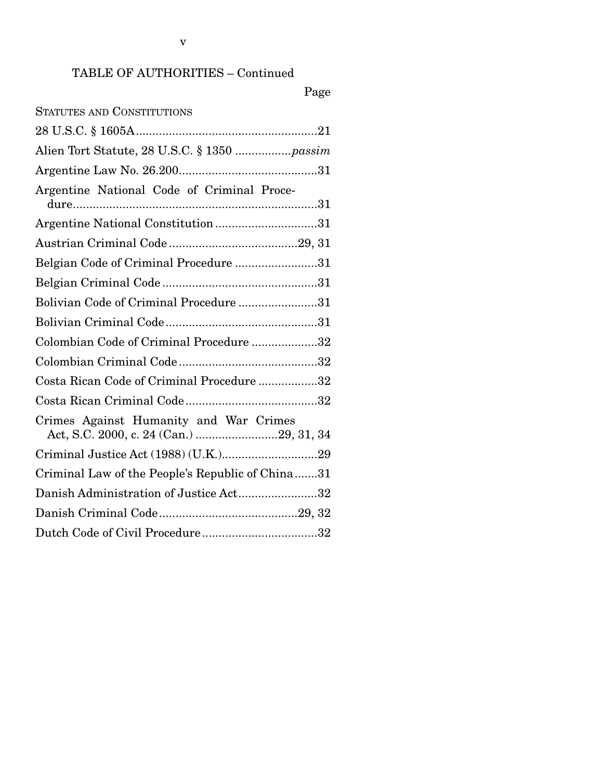v

## TABLE OF AUTHORITIES – Continued

## Page

| Alien Tort Statute, 28 U.S.C. § 1350  passim     |
|--------------------------------------------------|
|                                                  |
| Argentine National Code of Criminal Proce-       |
| Argentine National Constitution31                |
|                                                  |
| Belgian Code of Criminal Procedure 31            |
|                                                  |
| Bolivian Code of Criminal Procedure31            |
|                                                  |
| Colombian Code of Criminal Procedure 32          |
|                                                  |
| Costa Rican Code of Criminal Procedure32         |
|                                                  |
| Crimes Against Humanity and War Crimes           |
|                                                  |
| Criminal Law of the People's Republic of China31 |
| Danish Administration of Justice Act32           |
|                                                  |
|                                                  |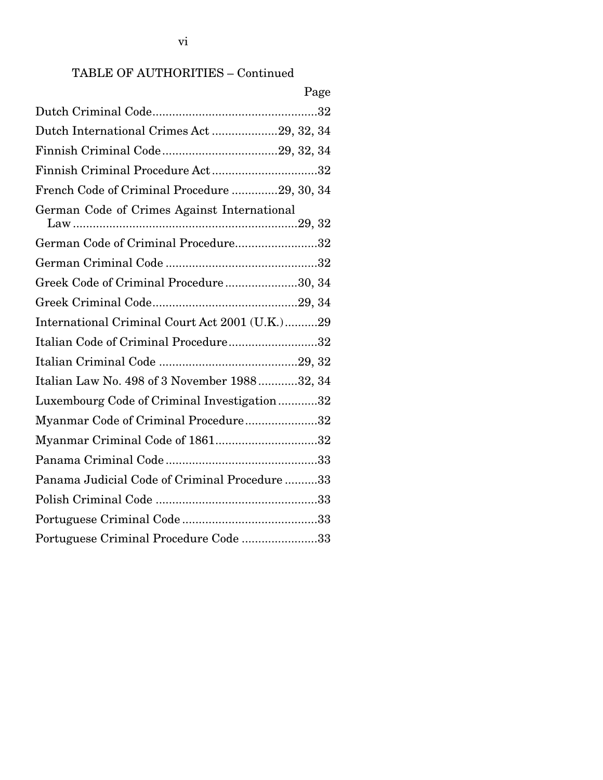## TABLE OF AUTHORITIES – Continued

|                                                | Page |
|------------------------------------------------|------|
|                                                |      |
| Dutch International Crimes Act29, 32, 34       |      |
|                                                |      |
| Finnish Criminal Procedure Act32               |      |
| French Code of Criminal Procedure 29, 30, 34   |      |
| German Code of Crimes Against International    |      |
| German Code of Criminal Procedure32            |      |
|                                                |      |
| Greek Code of Criminal Procedure30, 34         |      |
|                                                |      |
| International Criminal Court Act 2001 (U.K.)29 |      |
| Italian Code of Criminal Procedure32           |      |
|                                                |      |
| Italian Law No. 498 of 3 November 198832, 34   |      |
| Luxembourg Code of Criminal Investigation32    |      |
| Myanmar Code of Criminal Procedure32           |      |
| Myanmar Criminal Code of 186132                |      |
|                                                |      |
| Panama Judicial Code of Criminal Procedure33   |      |
|                                                |      |
|                                                |      |
| Portuguese Criminal Procedure Code 33          |      |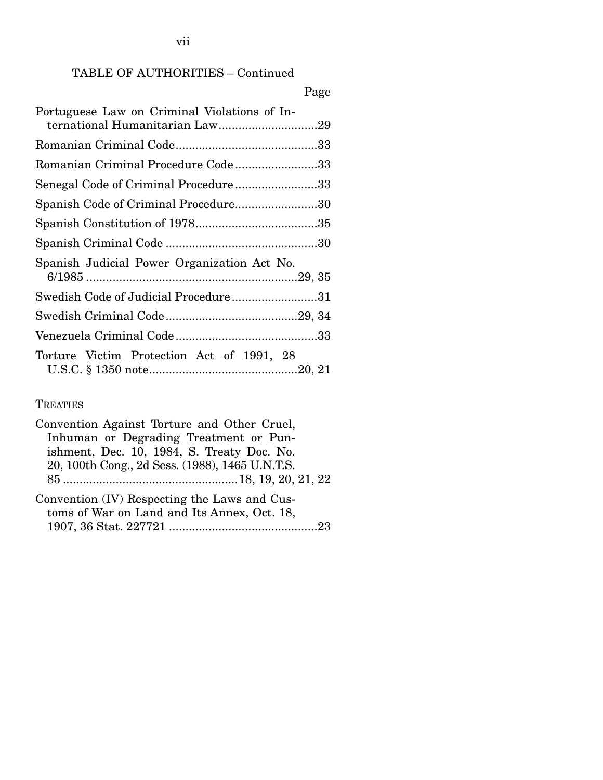## TABLE OF AUTHORITIES – Continued

## Page

| Portuguese Law on Criminal Violations of In-<br>ternational Humanitarian Law29 |
|--------------------------------------------------------------------------------|
|                                                                                |
| Romanian Criminal Procedure Code 33                                            |
| Senegal Code of Criminal Procedure33                                           |
| Spanish Code of Criminal Procedure30                                           |
|                                                                                |
|                                                                                |
| Spanish Judicial Power Organization Act No.                                    |
| Swedish Code of Judicial Procedure31                                           |
|                                                                                |
|                                                                                |
| Torture Victim Protection Act of 1991, 28                                      |

### **TREATIES**

| Convention Against Torture and Other Cruel,     |
|-------------------------------------------------|
| Inhuman or Degrading Treatment or Pun-          |
| ishment, Dec. 10, 1984, S. Treaty Doc. No.      |
| 20, 100th Cong., 2d Sess. (1988), 1465 U.N.T.S. |
|                                                 |
| Convention (IV) Respecting the Laws and Cus-    |
| toms of War on Land and Its Annex, Oct. 18,     |
|                                                 |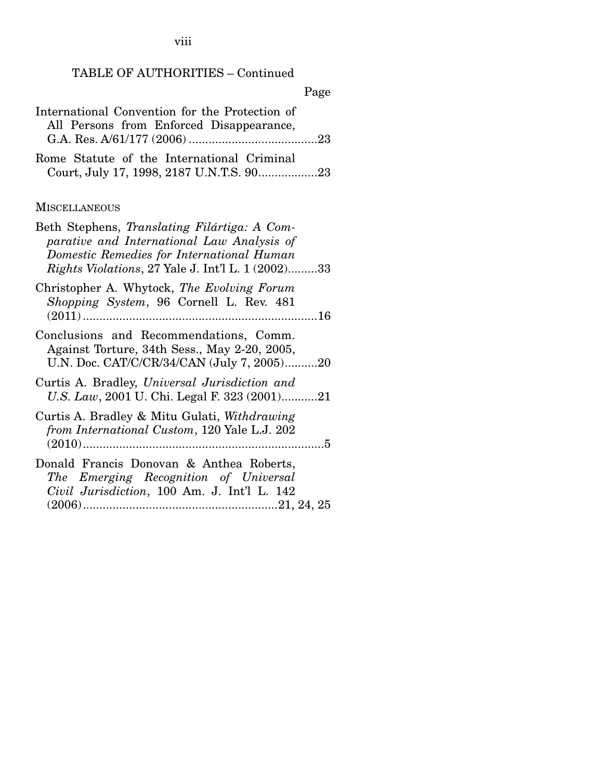viii

### TABLE OF AUTHORITIES – Continued

### Page

| International Convention for the Protection of |  |
|------------------------------------------------|--|
| All Persons from Enforced Disappearance,       |  |
|                                                |  |
| Rome Statute of the International Criminal     |  |
| Court, July 17, 1998, 2187 U.N.T.S. 9023       |  |

### **MISCELLANEOUS**

| Beth Stephens, Translating Filártiga: A Com-<br>parative and International Law Analysis of<br>Domestic Remedies for International Human<br><i>Rights Violations, 27 Yale J. Int'l L. 1 (2002)33</i> |
|-----------------------------------------------------------------------------------------------------------------------------------------------------------------------------------------------------|
| Christopher A. Whytock, The Evolving Forum<br>Shopping System, 96 Cornell L. Rev. 481                                                                                                               |
| Conclusions and Recommendations, Comm.<br>Against Torture, 34th Sess., May 2-20, 2005,<br>U.N. Doc. CAT/C/CR/34/CAN (July 7, 2005)20                                                                |
| Curtis A. Bradley, Universal Jurisdiction and<br>U.S. Law, 2001 U. Chi. Legal F. 323 (2001)21                                                                                                       |
| Curtis A. Bradley & Mitu Gulati, Withdrawing<br>from International Custom, 120 Yale L.J. 202                                                                                                        |
| Donald Francis Donovan & Anthea Roberts,<br>The Emerging Recognition of Universal<br>Civil Jurisdiction, 100 Am. J. Int'l L. 142                                                                    |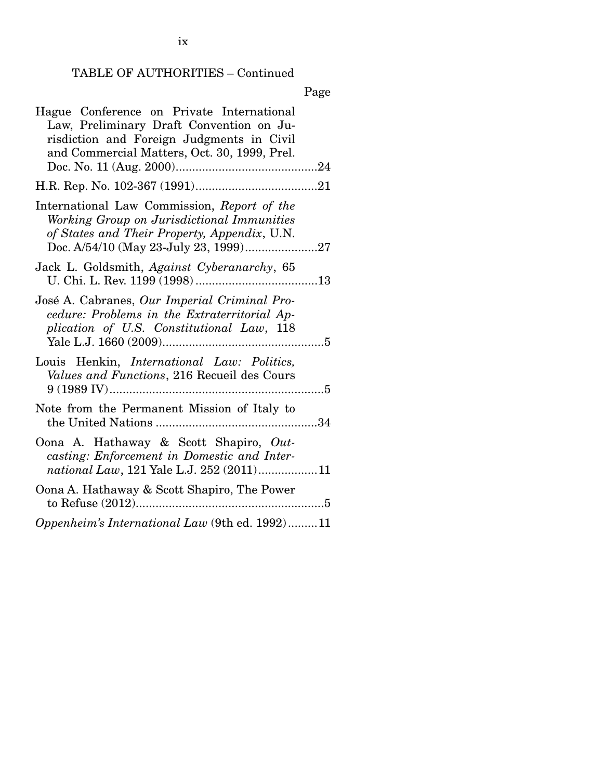## TABLE OF AUTHORITIES – Continued

|--|

| Hague Conference on Private International          |  |
|----------------------------------------------------|--|
| Law, Preliminary Draft Convention on Ju-           |  |
| risdiction and Foreign Judgments in Civil          |  |
| and Commercial Matters, Oct. 30, 1999, Prel.       |  |
|                                                    |  |
|                                                    |  |
| International Law Commission, Report of the        |  |
| Working Group on Jurisdictional Immunities         |  |
| of States and Their Property, Appendix, U.N.       |  |
|                                                    |  |
|                                                    |  |
| Jack L. Goldsmith, Against Cyberanarchy, 65        |  |
|                                                    |  |
| José A. Cabranes, Our Imperial Criminal Pro-       |  |
| cedure: Problems in the Extraterritorial Ap-       |  |
| plication of U.S. Constitutional Law, 118          |  |
|                                                    |  |
| Louis Henkin, <i>International Law: Politics</i> , |  |
| Values and Functions, 216 Recueil des Cours        |  |
|                                                    |  |
|                                                    |  |
| Note from the Permanent Mission of Italy to        |  |
|                                                    |  |
| Oona A. Hathaway & Scott Shapiro, Out-             |  |
| casting: Enforcement in Domestic and Inter-        |  |
| national Law, 121 Yale L.J. 252 (2011)11           |  |
|                                                    |  |
| Oona A. Hathaway & Scott Shapiro, The Power        |  |
|                                                    |  |
| Oppenheim's International Law (9th ed. 1992)11     |  |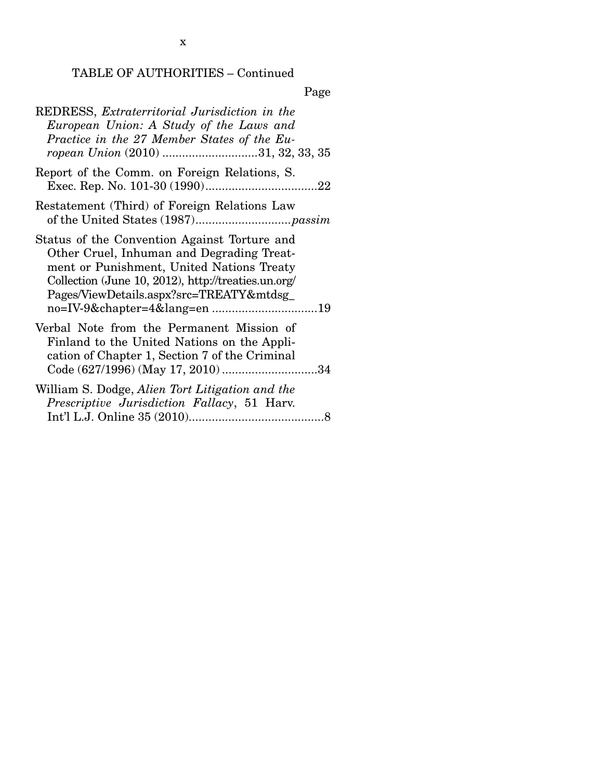# TABLE OF AUTHORITIES – Continued

| REDRESS, Extraterritorial Jurisdiction in the<br>European Union: A Study of the Laws and<br>Practice in the 27 Member States of the Eu-<br>ropean Union (2010) 31, 32, 33, 35                                                             |
|-------------------------------------------------------------------------------------------------------------------------------------------------------------------------------------------------------------------------------------------|
| Report of the Comm. on Foreign Relations, S.                                                                                                                                                                                              |
| Restatement (Third) of Foreign Relations Law                                                                                                                                                                                              |
| Status of the Convention Against Torture and<br>Other Cruel, Inhuman and Degrading Treat-<br>ment or Punishment, United Nations Treaty<br>Collection (June 10, 2012), http://treaties.un.org/<br>Pages/ViewDetails.aspx?src=TREATY&mtdsg_ |
| Verbal Note from the Permanent Mission of<br>Finland to the United Nations on the Appli-<br>cation of Chapter 1, Section 7 of the Criminal<br>Code (627/1996) (May 17, 2010) 34                                                           |
| William S. Dodge, Alien Tort Litigation and the<br>Prescriptive Jurisdiction Fallacy, 51 Harv.                                                                                                                                            |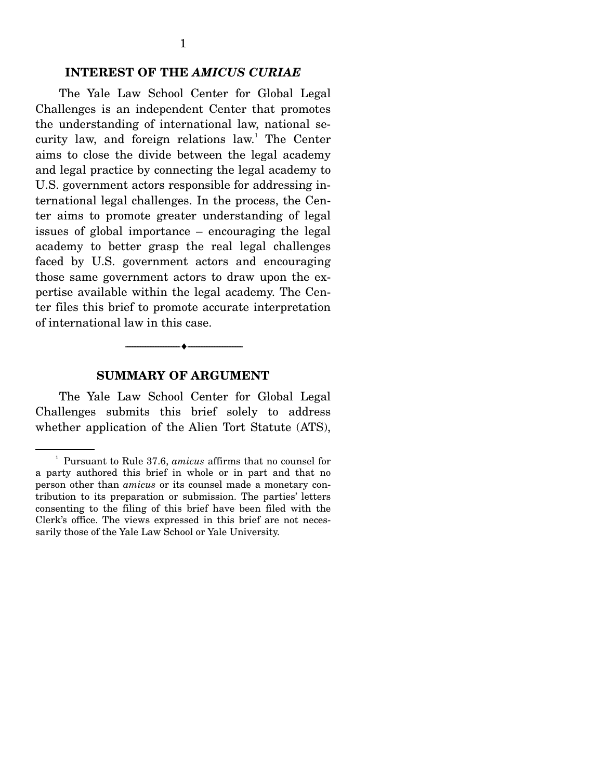#### **INTEREST OF THE** *AMICUS CURIAE*

The Yale Law School Center for Global Legal Challenges is an independent Center that promotes the understanding of international law, national security law, and foreign relations law.<sup>1</sup> The Center aims to close the divide between the legal academy and legal practice by connecting the legal academy to U.S. government actors responsible for addressing international legal challenges. In the process, the Center aims to promote greater understanding of legal issues of global importance – encouraging the legal academy to better grasp the real legal challenges faced by U.S. government actors and encouraging those same government actors to draw upon the expertise available within the legal academy. The Center files this brief to promote accurate interpretation of international law in this case.

#### **SUMMARY OF ARGUMENT**

--------------------------------- i ---------------------------------

 The Yale Law School Center for Global Legal Challenges submits this brief solely to address whether application of the Alien Tort Statute (ATS),

<sup>1</sup> Pursuant to Rule 37.6, *amicus* affirms that no counsel for a party authored this brief in whole or in part and that no person other than *amicus* or its counsel made a monetary contribution to its preparation or submission. The parties' letters consenting to the filing of this brief have been filed with the Clerk's office. The views expressed in this brief are not necessarily those of the Yale Law School or Yale University.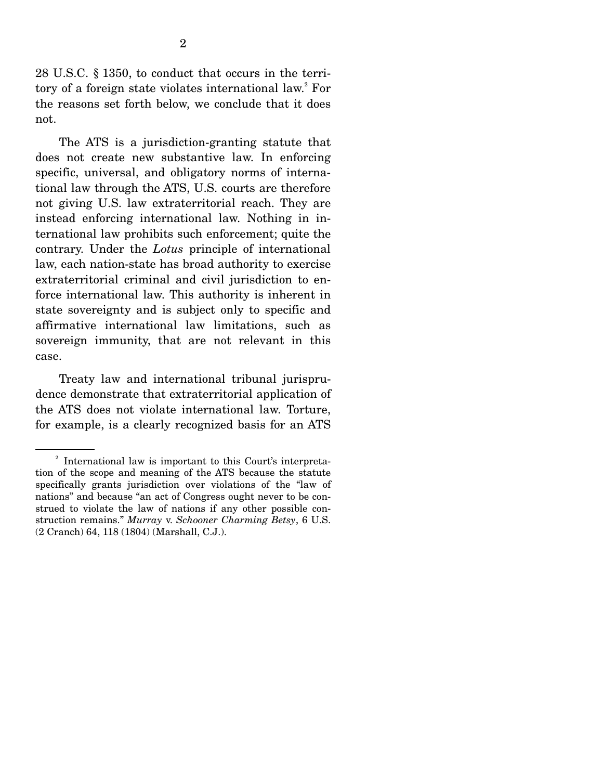28 U.S.C. § 1350, to conduct that occurs in the territory of a foreign state violates international law.<sup>2</sup> For the reasons set forth below, we conclude that it does not.

 The ATS is a jurisdiction-granting statute that does not create new substantive law. In enforcing specific, universal, and obligatory norms of international law through the ATS, U.S. courts are therefore not giving U.S. law extraterritorial reach. They are instead enforcing international law. Nothing in international law prohibits such enforcement; quite the contrary. Under the *Lotus* principle of international law, each nation-state has broad authority to exercise extraterritorial criminal and civil jurisdiction to enforce international law. This authority is inherent in state sovereignty and is subject only to specific and affirmative international law limitations, such as sovereign immunity, that are not relevant in this case.

 Treaty law and international tribunal jurisprudence demonstrate that extraterritorial application of the ATS does not violate international law. Torture, for example, is a clearly recognized basis for an ATS

<sup>&</sup>lt;sup>2</sup> International law is important to this Court's interpretation of the scope and meaning of the ATS because the statute specifically grants jurisdiction over violations of the "law of nations" and because "an act of Congress ought never to be construed to violate the law of nations if any other possible construction remains." *Murray* v. *Schooner Charming Betsy*, 6 U.S. (2 Cranch) 64, 118 (1804) (Marshall, C.J.).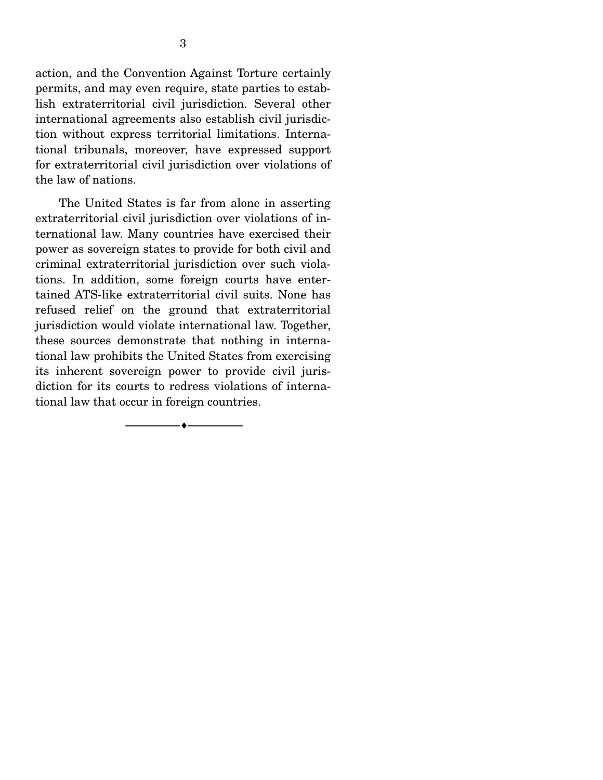action, and the Convention Against Torture certainly permits, and may even require, state parties to establish extraterritorial civil jurisdiction. Several other international agreements also establish civil jurisdiction without express territorial limitations. International tribunals, moreover, have expressed support for extraterritorial civil jurisdiction over violations of the law of nations.

 The United States is far from alone in asserting extraterritorial civil jurisdiction over violations of international law. Many countries have exercised their power as sovereign states to provide for both civil and criminal extraterritorial jurisdiction over such violations. In addition, some foreign courts have entertained ATS-like extraterritorial civil suits. None has refused relief on the ground that extraterritorial jurisdiction would violate international law. Together, these sources demonstrate that nothing in international law prohibits the United States from exercising its inherent sovereign power to provide civil jurisdiction for its courts to redress violations of international law that occur in foreign countries.

--------------------------------- i ---------------------------------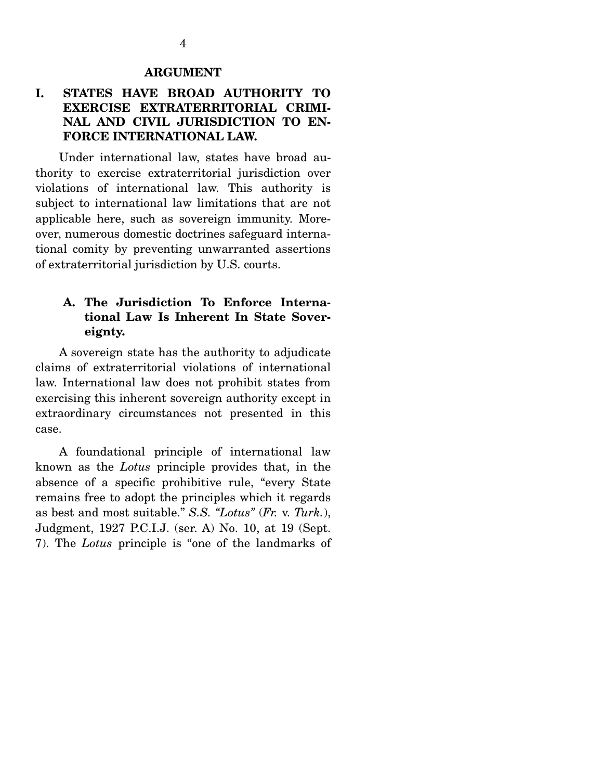#### **ARGUMENT**

### **I. STATES HAVE BROAD AUTHORITY TO EXERCISE EXTRATERRITORIAL CRIMI-NAL AND CIVIL JURISDICTION TO EN-FORCE INTERNATIONAL LAW.**

 Under international law, states have broad authority to exercise extraterritorial jurisdiction over violations of international law. This authority is subject to international law limitations that are not applicable here, such as sovereign immunity. Moreover, numerous domestic doctrines safeguard international comity by preventing unwarranted assertions of extraterritorial jurisdiction by U.S. courts.

#### **A. The Jurisdiction To Enforce International Law Is Inherent In State Sovereignty.**

 A sovereign state has the authority to adjudicate claims of extraterritorial violations of international law. International law does not prohibit states from exercising this inherent sovereign authority except in extraordinary circumstances not presented in this case.

 A foundational principle of international law known as the *Lotus* principle provides that, in the absence of a specific prohibitive rule, "every State remains free to adopt the principles which it regards as best and most suitable." *S.S. "Lotus"* (*Fr.* v. *Turk.*), Judgment, 1927 P.C.I.J. (ser. A) No. 10, at 19 (Sept. 7). The *Lotus* principle is "one of the landmarks of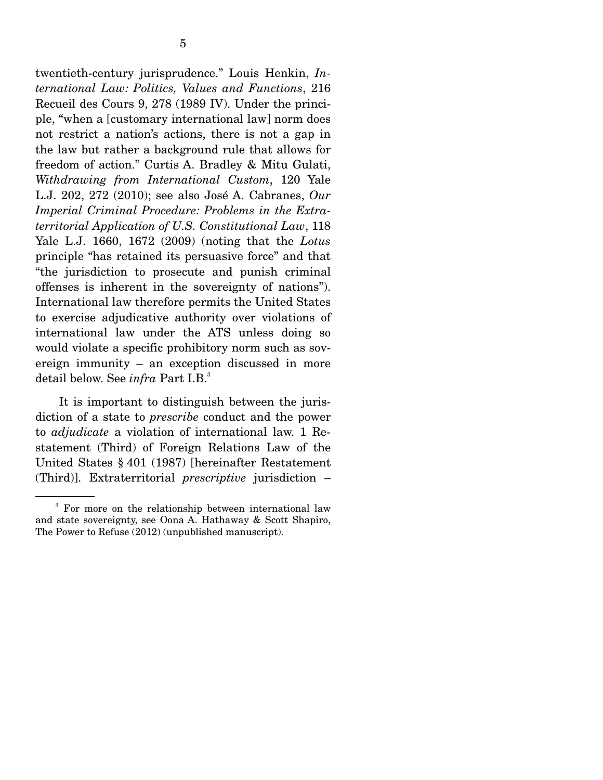twentieth-century jurisprudence." Louis Henkin, *International Law: Politics, Values and Functions*, 216 Recueil des Cours 9, 278 (1989 IV). Under the principle, "when a [customary international law] norm does not restrict a nation's actions, there is not a gap in the law but rather a background rule that allows for freedom of action." Curtis A. Bradley & Mitu Gulati, *Withdrawing from International Custom*, 120 Yale L.J. 202, 272 (2010); see also José A. Cabranes, *Our Imperial Criminal Procedure: Problems in the Extraterritorial Application of U.S. Constitutional Law*, 118 Yale L.J. 1660, 1672 (2009) (noting that the *Lotus* principle "has retained its persuasive force" and that "the jurisdiction to prosecute and punish criminal offenses is inherent in the sovereignty of nations"). International law therefore permits the United States to exercise adjudicative authority over violations of international law under the ATS unless doing so would violate a specific prohibitory norm such as sovereign immunity – an exception discussed in more detail below. See *infra* Part I.B.<sup>3</sup>

 It is important to distinguish between the jurisdiction of a state to *prescribe* conduct and the power to *adjudicate* a violation of international law. 1 Restatement (Third) of Foreign Relations Law of the United States § 401 (1987) [hereinafter Restatement (Third)]. Extraterritorial *prescriptive* jurisdiction –

<sup>&</sup>lt;sup>3</sup> For more on the relationship between international law and state sovereignty, see Oona A. Hathaway & Scott Shapiro, The Power to Refuse (2012) (unpublished manuscript).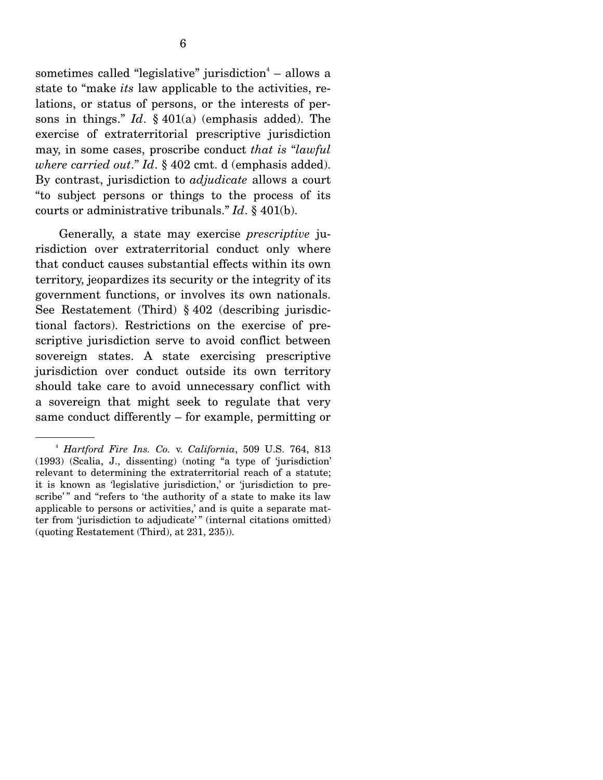sometimes called "legislative" jurisdiction $4$  – allows a state to "make *its* law applicable to the activities, relations, or status of persons, or the interests of persons in things." *Id*. § 401(a) (emphasis added). The exercise of extraterritorial prescriptive jurisdiction may, in some cases, proscribe conduct *that is* "*lawful where carried out*." *Id*. § 402 cmt. d (emphasis added). By contrast, jurisdiction to *adjudicate* allows a court "to subject persons or things to the process of its courts or administrative tribunals." *Id*. § 401(b).

 Generally, a state may exercise *prescriptive* jurisdiction over extraterritorial conduct only where that conduct causes substantial effects within its own territory, jeopardizes its security or the integrity of its government functions, or involves its own nationals. See Restatement (Third) § 402 (describing jurisdictional factors). Restrictions on the exercise of prescriptive jurisdiction serve to avoid conflict between sovereign states. A state exercising prescriptive jurisdiction over conduct outside its own territory should take care to avoid unnecessary conflict with a sovereign that might seek to regulate that very same conduct differently – for example, permitting or

<sup>4</sup> *Hartford Fire Ins. Co.* v. *California*, 509 U.S. 764, 813 (1993) (Scalia, J., dissenting) (noting "a type of 'jurisdiction' relevant to determining the extraterritorial reach of a statute; it is known as 'legislative jurisdiction,' or 'jurisdiction to prescribe'" and "refers to 'the authority of a state to make its law applicable to persons or activities,' and is quite a separate matter from 'jurisdiction to adjudicate' " (internal citations omitted) (quoting Restatement (Third), at 231, 235)).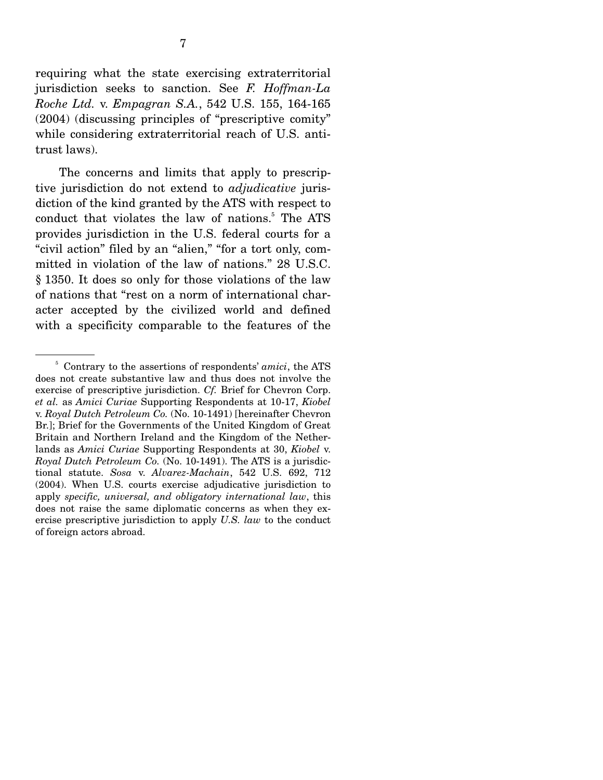requiring what the state exercising extraterritorial jurisdiction seeks to sanction. See *F. Hoffman-La Roche Ltd.* v. *Empagran S.A.*, 542 U.S. 155, 164-165 (2004) (discussing principles of "prescriptive comity" while considering extraterritorial reach of U.S. antitrust laws).

 The concerns and limits that apply to prescriptive jurisdiction do not extend to *adjudicative* jurisdiction of the kind granted by the ATS with respect to conduct that violates the law of nations.<sup>5</sup> The ATS provides jurisdiction in the U.S. federal courts for a "civil action" filed by an "alien," "for a tort only, committed in violation of the law of nations." 28 U.S.C. § 1350. It does so only for those violations of the law of nations that "rest on a norm of international character accepted by the civilized world and defined with a specificity comparable to the features of the

<sup>&</sup>lt;sup>5</sup> Contrary to the assertions of respondents' *amici*, the ATS does not create substantive law and thus does not involve the exercise of prescriptive jurisdiction. *Cf.* Brief for Chevron Corp. *et al.* as *Amici Curiae* Supporting Respondents at 10-17, *Kiobel*  v. *Royal Dutch Petroleum Co.* (No. 10-1491) [hereinafter Chevron Br.]; Brief for the Governments of the United Kingdom of Great Britain and Northern Ireland and the Kingdom of the Netherlands as *Amici Curiae* Supporting Respondents at 30, *Kiobel* v. *Royal Dutch Petroleum Co.* (No. 10-1491). The ATS is a jurisdictional statute. *Sosa* v. *Alvarez-Machain*, 542 U.S. 692, 712 (2004). When U.S. courts exercise adjudicative jurisdiction to apply *specific, universal, and obligatory international law*, this does not raise the same diplomatic concerns as when they exercise prescriptive jurisdiction to apply *U.S. law* to the conduct of foreign actors abroad.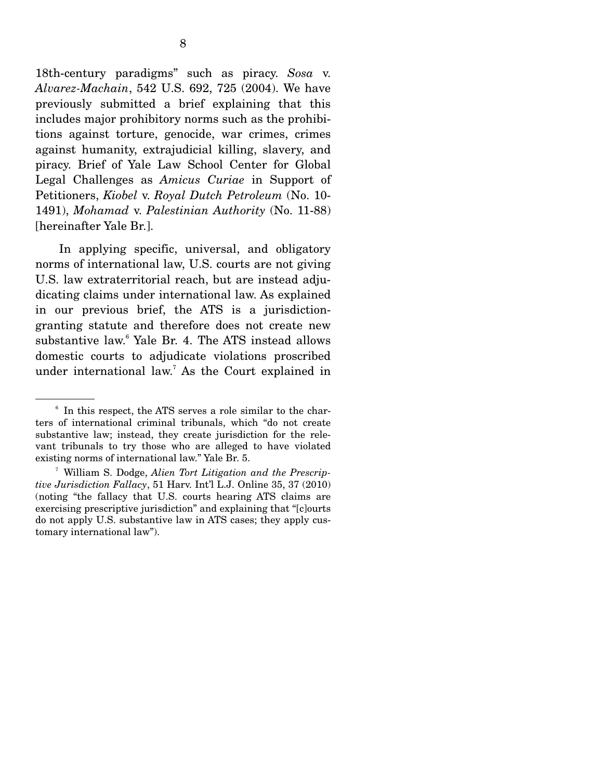18th-century paradigms" such as piracy. *Sosa* v. *Alvarez-Machain*, 542 U.S. 692, 725 (2004). We have previously submitted a brief explaining that this includes major prohibitory norms such as the prohibitions against torture, genocide, war crimes, crimes against humanity, extrajudicial killing, slavery, and piracy. Brief of Yale Law School Center for Global Legal Challenges as *Amicus Curiae* in Support of Petitioners, *Kiobel* v. *Royal Dutch Petroleum* (No. 10- 1491), *Mohamad* v. *Palestinian Authority* (No. 11-88) [hereinafter Yale Br.].

 In applying specific, universal, and obligatory norms of international law, U.S. courts are not giving U.S. law extraterritorial reach, but are instead adjudicating claims under international law. As explained in our previous brief, the ATS is a jurisdictiongranting statute and therefore does not create new substantive law.<sup>6</sup> Yale Br. 4. The ATS instead allows domestic courts to adjudicate violations proscribed under international law.7 As the Court explained in

<sup>&</sup>lt;sup>6</sup> In this respect, the ATS serves a role similar to the charters of international criminal tribunals, which "do not create substantive law; instead, they create jurisdiction for the relevant tribunals to try those who are alleged to have violated existing norms of international law." Yale Br. 5.

<sup>7</sup> William S. Dodge, *Alien Tort Litigation and the Prescriptive Jurisdiction Fallacy*, 51 Harv. Int'l L.J. Online 35, 37 (2010) (noting "the fallacy that U.S. courts hearing ATS claims are exercising prescriptive jurisdiction" and explaining that "[c]ourts do not apply U.S. substantive law in ATS cases; they apply customary international law").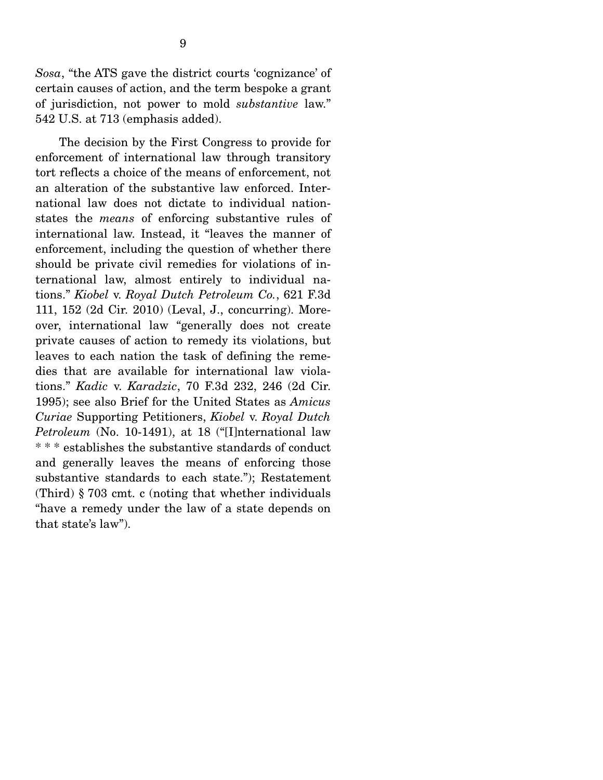*Sosa*, "the ATS gave the district courts 'cognizance' of certain causes of action, and the term bespoke a grant of jurisdiction, not power to mold *substantive* law." 542 U.S. at 713 (emphasis added).

 The decision by the First Congress to provide for enforcement of international law through transitory tort reflects a choice of the means of enforcement, not an alteration of the substantive law enforced. International law does not dictate to individual nationstates the *means* of enforcing substantive rules of international law. Instead, it "leaves the manner of enforcement, including the question of whether there should be private civil remedies for violations of international law, almost entirely to individual nations." *Kiobel* v. *Royal Dutch Petroleum Co.*, 621 F.3d 111, 152 (2d Cir. 2010) (Leval, J., concurring). Moreover, international law "generally does not create private causes of action to remedy its violations, but leaves to each nation the task of defining the remedies that are available for international law violations." *Kadic* v. *Karadzic*, 70 F.3d 232, 246 (2d Cir. 1995); see also Brief for the United States as *Amicus Curiae* Supporting Petitioners, *Kiobel* v. *Royal Dutch Petroleum* (No. 10-1491), at 18 ("[I]nternational law \* \* \* establishes the substantive standards of conduct and generally leaves the means of enforcing those substantive standards to each state."); Restatement (Third) § 703 cmt. c (noting that whether individuals "have a remedy under the law of a state depends on that state's law").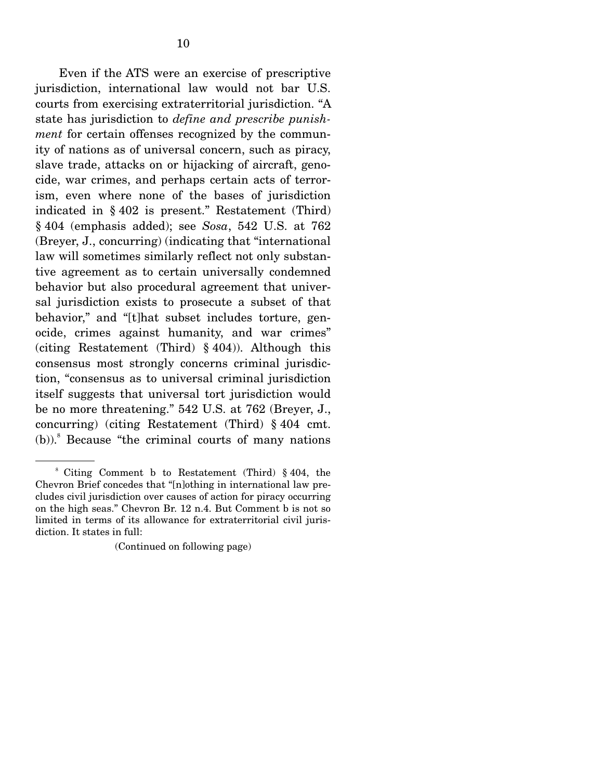Even if the ATS were an exercise of prescriptive jurisdiction, international law would not bar U.S. courts from exercising extraterritorial jurisdiction. "A state has jurisdiction to *define and prescribe punishment* for certain offenses recognized by the community of nations as of universal concern, such as piracy, slave trade, attacks on or hijacking of aircraft, genocide, war crimes, and perhaps certain acts of terrorism, even where none of the bases of jurisdiction indicated in § 402 is present." Restatement (Third) § 404 (emphasis added); see *Sosa*, 542 U.S. at 762 (Breyer, J., concurring) (indicating that "international law will sometimes similarly reflect not only substantive agreement as to certain universally condemned behavior but also procedural agreement that universal jurisdiction exists to prosecute a subset of that behavior," and "[t]hat subset includes torture, genocide, crimes against humanity, and war crimes" (citing Restatement (Third) § 404)). Although this consensus most strongly concerns criminal jurisdiction, "consensus as to universal criminal jurisdiction itself suggests that universal tort jurisdiction would be no more threatening." 542 U.S. at 762 (Breyer, J., concurring) (citing Restatement (Third) § 404 cmt.  $(b)$ ).<sup>8</sup> Because "the criminal courts of many nations"

<sup>8</sup> Citing Comment b to Restatement (Third) § 404, the Chevron Brief concedes that "[n]othing in international law precludes civil jurisdiction over causes of action for piracy occurring on the high seas." Chevron Br. 12 n.4. But Comment b is not so limited in terms of its allowance for extraterritorial civil jurisdiction. It states in full:

<sup>(</sup>Continued on following page)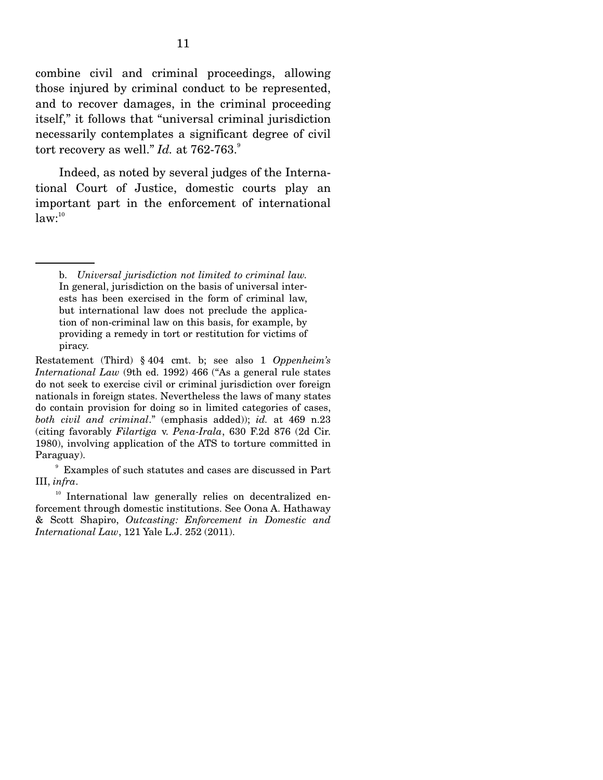combine civil and criminal proceedings, allowing those injured by criminal conduct to be represented, and to recover damages, in the criminal proceeding itself," it follows that "universal criminal jurisdiction necessarily contemplates a significant degree of civil tort recovery as well."  $Id.$  at  $762-763.$ <sup>9</sup>

 Indeed, as noted by several judges of the International Court of Justice, domestic courts play an important part in the enforcement of international  $law:$ <sup>10</sup>

b. *Universal jurisdiction not limited to criminal law.* In general, jurisdiction on the basis of universal interests has been exercised in the form of criminal law, but international law does not preclude the application of non-criminal law on this basis, for example, by providing a remedy in tort or restitution for victims of piracy.

Restatement (Third) § 404 cmt. b; see also 1 *Oppenheim's International Law* (9th ed. 1992) 466 ("As a general rule states do not seek to exercise civil or criminal jurisdiction over foreign nationals in foreign states. Nevertheless the laws of many states do contain provision for doing so in limited categories of cases, *both civil and criminal*." (emphasis added)); *id.* at 469 n.23 (citing favorably *Filartiga* v. *Pena-Irala*, 630 F.2d 876 (2d Cir. 1980), involving application of the ATS to torture committed in Paraguay).

<sup>9</sup> Examples of such statutes and cases are discussed in Part III, *infra*.<br><sup>10</sup> International law generally relies on decentralized en-

forcement through domestic institutions. See Oona A. Hathaway & Scott Shapiro, *Outcasting: Enforcement in Domestic and International Law*, 121 Yale L.J. 252 (2011).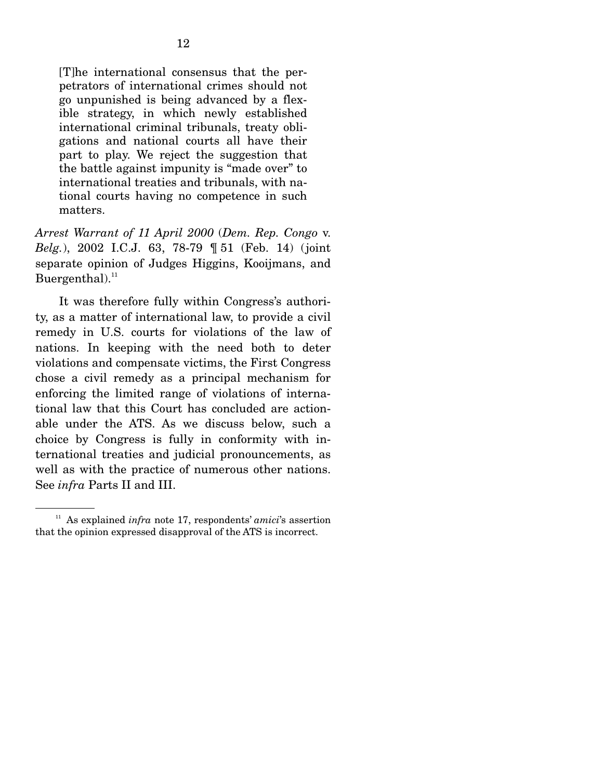[T]he international consensus that the perpetrators of international crimes should not go unpunished is being advanced by a flexible strategy, in which newly established international criminal tribunals, treaty obligations and national courts all have their part to play. We reject the suggestion that the battle against impunity is "made over" to international treaties and tribunals, with national courts having no competence in such matters.

*Arrest Warrant of 11 April 2000* (*Dem. Rep. Congo* v. *Belg.*), 2002 I.C.J. 63, 78-79 ¶ 51 (Feb. 14) (joint separate opinion of Judges Higgins, Kooijmans, and Buergenthal). $^{11}$ 

 It was therefore fully within Congress's authority, as a matter of international law, to provide a civil remedy in U.S. courts for violations of the law of nations. In keeping with the need both to deter violations and compensate victims, the First Congress chose a civil remedy as a principal mechanism for enforcing the limited range of violations of international law that this Court has concluded are actionable under the ATS. As we discuss below, such a choice by Congress is fully in conformity with international treaties and judicial pronouncements, as well as with the practice of numerous other nations. See *infra* Parts II and III.

<sup>11</sup> As explained *infra* note 17, respondents' *amici*'s assertion that the opinion expressed disapproval of the ATS is incorrect.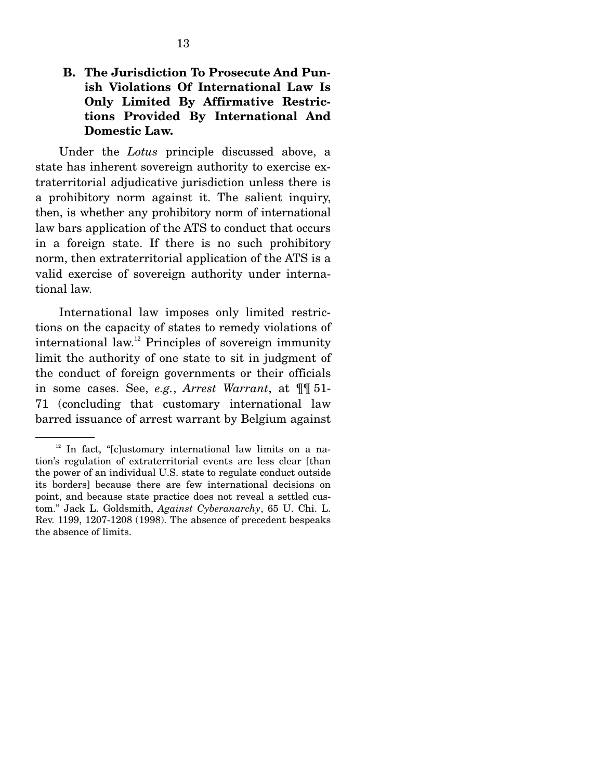### **B. The Jurisdiction To Prosecute And Punish Violations Of International Law Is Only Limited By Affirmative Restrictions Provided By International And Domestic Law.**

 Under the *Lotus* principle discussed above, a state has inherent sovereign authority to exercise extraterritorial adjudicative jurisdiction unless there is a prohibitory norm against it. The salient inquiry, then, is whether any prohibitory norm of international law bars application of the ATS to conduct that occurs in a foreign state. If there is no such prohibitory norm, then extraterritorial application of the ATS is a valid exercise of sovereign authority under international law.

 International law imposes only limited restrictions on the capacity of states to remedy violations of international law.<sup>12</sup> Principles of sovereign immunity limit the authority of one state to sit in judgment of the conduct of foreign governments or their officials in some cases. See, *e.g.*, *Arrest Warrant*, at ¶¶ 51- 71 (concluding that customary international law barred issuance of arrest warrant by Belgium against

 $12$  In fact, "[c]ustomary international law limits on a nation's regulation of extraterritorial events are less clear [than the power of an individual U.S. state to regulate conduct outside its borders] because there are few international decisions on point, and because state practice does not reveal a settled custom." Jack L. Goldsmith, *Against Cyberanarchy*, 65 U. Chi. L. Rev. 1199, 1207-1208 (1998). The absence of precedent bespeaks the absence of limits.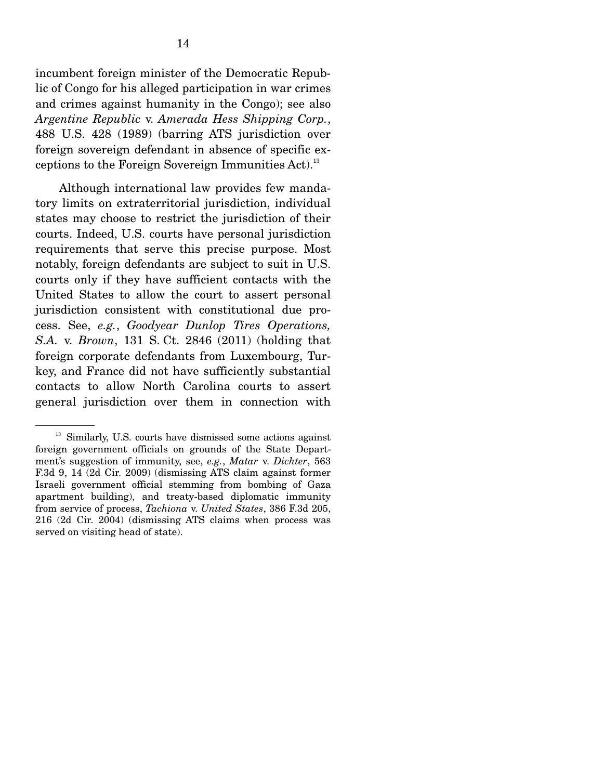incumbent foreign minister of the Democratic Republic of Congo for his alleged participation in war crimes and crimes against humanity in the Congo); see also *Argentine Republic* v. *Amerada Hess Shipping Corp.*, 488 U.S. 428 (1989) (barring ATS jurisdiction over foreign sovereign defendant in absence of specific exceptions to the Foreign Sovereign Immunities Act).<sup>13</sup>

 Although international law provides few mandatory limits on extraterritorial jurisdiction, individual states may choose to restrict the jurisdiction of their courts. Indeed, U.S. courts have personal jurisdiction requirements that serve this precise purpose. Most notably, foreign defendants are subject to suit in U.S. courts only if they have sufficient contacts with the United States to allow the court to assert personal jurisdiction consistent with constitutional due process. See, *e.g.*, *Goodyear Dunlop Tires Operations, S.A.* v. *Brown*, 131 S. Ct. 2846 (2011) (holding that foreign corporate defendants from Luxembourg, Turkey, and France did not have sufficiently substantial contacts to allow North Carolina courts to assert general jurisdiction over them in connection with

<sup>&</sup>lt;sup>13</sup> Similarly, U.S. courts have dismissed some actions against foreign government officials on grounds of the State Department's suggestion of immunity, see, *e.g.*, *Matar* v. *Dichter*, 563 F.3d 9, 14 (2d Cir. 2009) (dismissing ATS claim against former Israeli government official stemming from bombing of Gaza apartment building), and treaty-based diplomatic immunity from service of process, *Tachiona* v. *United States*, 386 F.3d 205, 216 (2d Cir. 2004) (dismissing ATS claims when process was served on visiting head of state).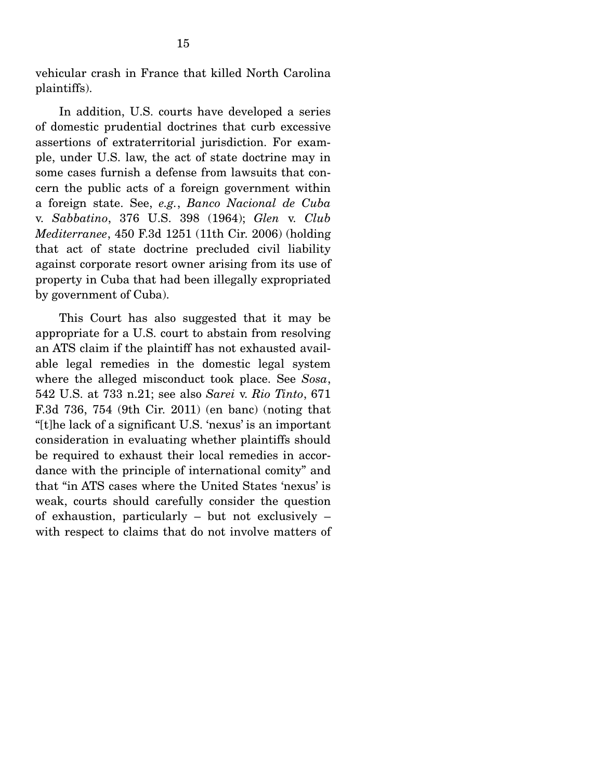vehicular crash in France that killed North Carolina plaintiffs).

 In addition, U.S. courts have developed a series of domestic prudential doctrines that curb excessive assertions of extraterritorial jurisdiction. For example, under U.S. law, the act of state doctrine may in some cases furnish a defense from lawsuits that concern the public acts of a foreign government within a foreign state. See, *e.g.*, *Banco Nacional de Cuba*  v. *Sabbatino*, 376 U.S. 398 (1964); *Glen* v. *Club Mediterranee*, 450 F.3d 1251 (11th Cir. 2006) (holding that act of state doctrine precluded civil liability against corporate resort owner arising from its use of property in Cuba that had been illegally expropriated by government of Cuba).

 This Court has also suggested that it may be appropriate for a U.S. court to abstain from resolving an ATS claim if the plaintiff has not exhausted available legal remedies in the domestic legal system where the alleged misconduct took place. See *Sosa*, 542 U.S. at 733 n.21; see also *Sarei* v. *Rio Tinto*, 671 F.3d 736, 754 (9th Cir. 2011) (en banc) (noting that "[t]he lack of a significant U.S. 'nexus' is an important consideration in evaluating whether plaintiffs should be required to exhaust their local remedies in accordance with the principle of international comity" and that "in ATS cases where the United States 'nexus' is weak, courts should carefully consider the question of exhaustion, particularly – but not exclusively – with respect to claims that do not involve matters of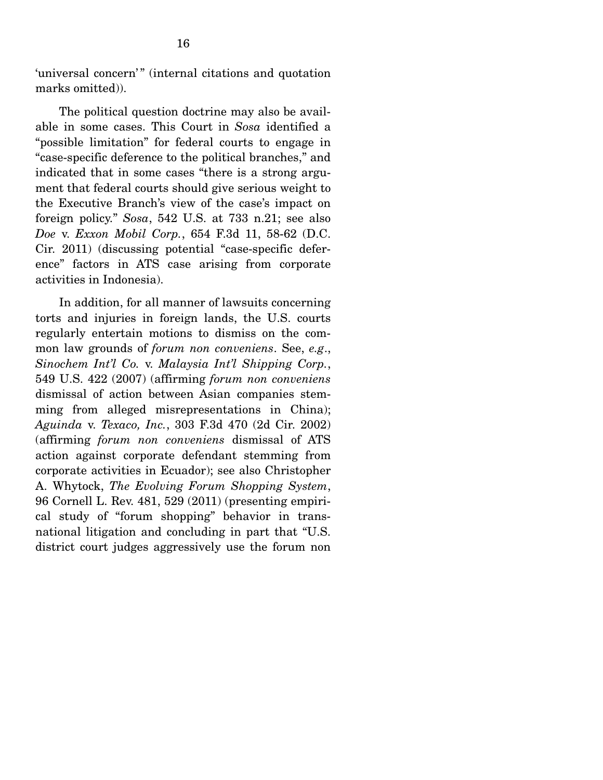'universal concern'" (internal citations and quotation marks omitted)).

 The political question doctrine may also be available in some cases. This Court in *Sosa* identified a "possible limitation" for federal courts to engage in "case-specific deference to the political branches," and indicated that in some cases "there is a strong argument that federal courts should give serious weight to the Executive Branch's view of the case's impact on foreign policy." *Sosa*, 542 U.S. at 733 n.21; see also *Doe* v. *Exxon Mobil Corp.*, 654 F.3d 11, 58-62 (D.C. Cir. 2011) (discussing potential "case-specific deference" factors in ATS case arising from corporate activities in Indonesia).

 In addition, for all manner of lawsuits concerning torts and injuries in foreign lands, the U.S. courts regularly entertain motions to dismiss on the common law grounds of *forum non conveniens*. See, *e.g*., *Sinochem Int'l Co.* v. *Malaysia Int'l Shipping Corp.*, 549 U.S. 422 (2007) (affirming *forum non conveniens*  dismissal of action between Asian companies stemming from alleged misrepresentations in China); *Aguinda* v. *Texaco, Inc.*, 303 F.3d 470 (2d Cir. 2002) (affirming *forum non conveniens* dismissal of ATS action against corporate defendant stemming from corporate activities in Ecuador); see also Christopher A. Whytock, *The Evolving Forum Shopping System*, 96 Cornell L. Rev. 481, 529 (2011) (presenting empirical study of "forum shopping" behavior in transnational litigation and concluding in part that "U.S. district court judges aggressively use the forum non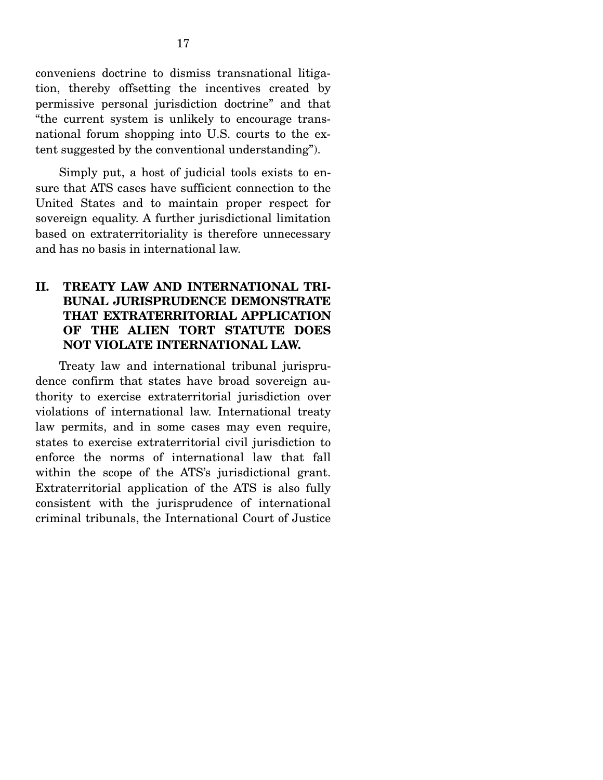conveniens doctrine to dismiss transnational litigation, thereby offsetting the incentives created by permissive personal jurisdiction doctrine" and that "the current system is unlikely to encourage transnational forum shopping into U.S. courts to the extent suggested by the conventional understanding").

 Simply put, a host of judicial tools exists to ensure that ATS cases have sufficient connection to the United States and to maintain proper respect for sovereign equality. A further jurisdictional limitation based on extraterritoriality is therefore unnecessary and has no basis in international law.

### **II. TREATY LAW AND INTERNATIONAL TRI-BUNAL JURISPRUDENCE DEMONSTRATE THAT EXTRATERRITORIAL APPLICATION OF THE ALIEN TORT STATUTE DOES NOT VIOLATE INTERNATIONAL LAW.**

 Treaty law and international tribunal jurisprudence confirm that states have broad sovereign authority to exercise extraterritorial jurisdiction over violations of international law. International treaty law permits, and in some cases may even require, states to exercise extraterritorial civil jurisdiction to enforce the norms of international law that fall within the scope of the ATS's jurisdictional grant. Extraterritorial application of the ATS is also fully consistent with the jurisprudence of international criminal tribunals, the International Court of Justice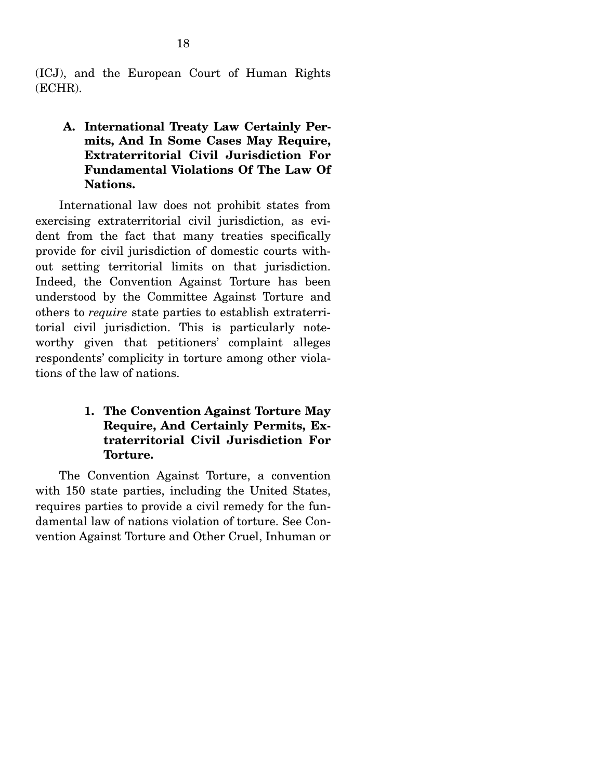(ICJ), and the European Court of Human Rights (ECHR).

### **A. International Treaty Law Certainly Permits, And In Some Cases May Require, Extraterritorial Civil Jurisdiction For Fundamental Violations Of The Law Of Nations.**

 International law does not prohibit states from exercising extraterritorial civil jurisdiction, as evident from the fact that many treaties specifically provide for civil jurisdiction of domestic courts without setting territorial limits on that jurisdiction. Indeed, the Convention Against Torture has been understood by the Committee Against Torture and others to *require* state parties to establish extraterritorial civil jurisdiction. This is particularly noteworthy given that petitioners' complaint alleges respondents' complicity in torture among other violations of the law of nations.

### **1. The Convention Against Torture May Require, And Certainly Permits, Extraterritorial Civil Jurisdiction For Torture.**

The Convention Against Torture, a convention with 150 state parties, including the United States, requires parties to provide a civil remedy for the fundamental law of nations violation of torture. See Convention Against Torture and Other Cruel, Inhuman or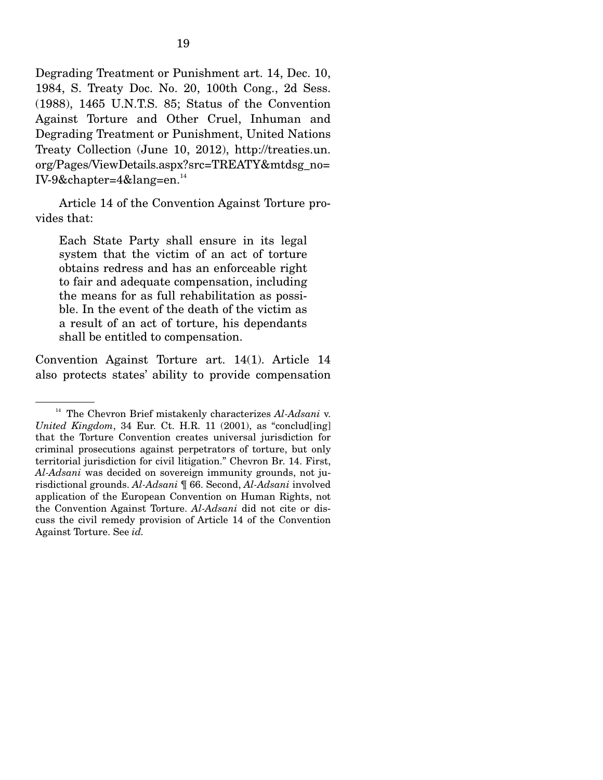Degrading Treatment or Punishment art. 14, Dec. 10, 1984, S. Treaty Doc. No. 20, 100th Cong., 2d Sess. (1988), 1465 U.N.T.S. 85; Status of the Convention Against Torture and Other Cruel, Inhuman and Degrading Treatment or Punishment, United Nations Treaty Collection (June 10, 2012), http://treaties.un. org/Pages/ViewDetails.aspx?src=TREATY&mtdsg\_no= IV-9&chapter=4&lang=en.14

 Article 14 of the Convention Against Torture provides that:

Each State Party shall ensure in its legal system that the victim of an act of torture obtains redress and has an enforceable right to fair and adequate compensation, including the means for as full rehabilitation as possible. In the event of the death of the victim as a result of an act of torture, his dependants shall be entitled to compensation.

Convention Against Torture art. 14(1). Article 14 also protects states' ability to provide compensation

<sup>&</sup>lt;sup>14</sup> The Chevron Brief mistakenly characterizes *Al-Adsani* v. *United Kingdom*, 34 Eur. Ct. H.R. 11 (2001), as "conclud[ing] that the Torture Convention creates universal jurisdiction for criminal prosecutions against perpetrators of torture, but only territorial jurisdiction for civil litigation." Chevron Br. 14. First, *Al-Adsani* was decided on sovereign immunity grounds, not jurisdictional grounds. *Al-Adsani* ¶ 66. Second, *Al-Adsani* involved application of the European Convention on Human Rights, not the Convention Against Torture. *Al-Adsani* did not cite or discuss the civil remedy provision of Article 14 of the Convention Against Torture. See *id.*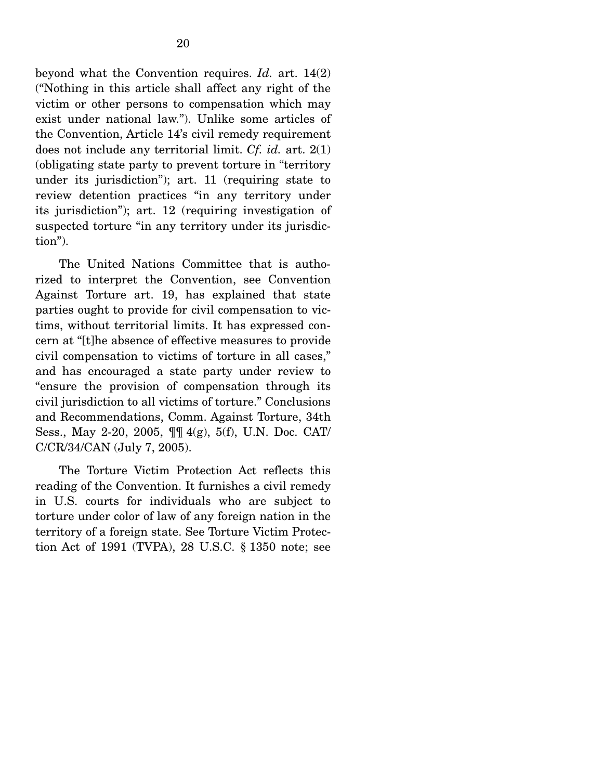beyond what the Convention requires. *Id.* art. 14(2) ("Nothing in this article shall affect any right of the victim or other persons to compensation which may exist under national law."). Unlike some articles of the Convention, Article 14's civil remedy requirement does not include any territorial limit. *Cf. id.* art. 2(1) (obligating state party to prevent torture in "territory under its jurisdiction"); art. 11 (requiring state to review detention practices "in any territory under its jurisdiction"); art. 12 (requiring investigation of suspected torture "in any territory under its jurisdiction").

 The United Nations Committee that is authorized to interpret the Convention, see Convention Against Torture art. 19, has explained that state parties ought to provide for civil compensation to victims, without territorial limits. It has expressed concern at "[t]he absence of effective measures to provide civil compensation to victims of torture in all cases," and has encouraged a state party under review to "ensure the provision of compensation through its civil jurisdiction to all victims of torture." Conclusions and Recommendations, Comm. Against Torture, 34th Sess., May 2-20, 2005, ¶¶ 4(g), 5(f), U.N. Doc. CAT/ C/CR/34/CAN (July 7, 2005).

 The Torture Victim Protection Act reflects this reading of the Convention. It furnishes a civil remedy in U.S. courts for individuals who are subject to torture under color of law of any foreign nation in the territory of a foreign state. See Torture Victim Protection Act of 1991 (TVPA), 28 U.S.C. § 1350 note; see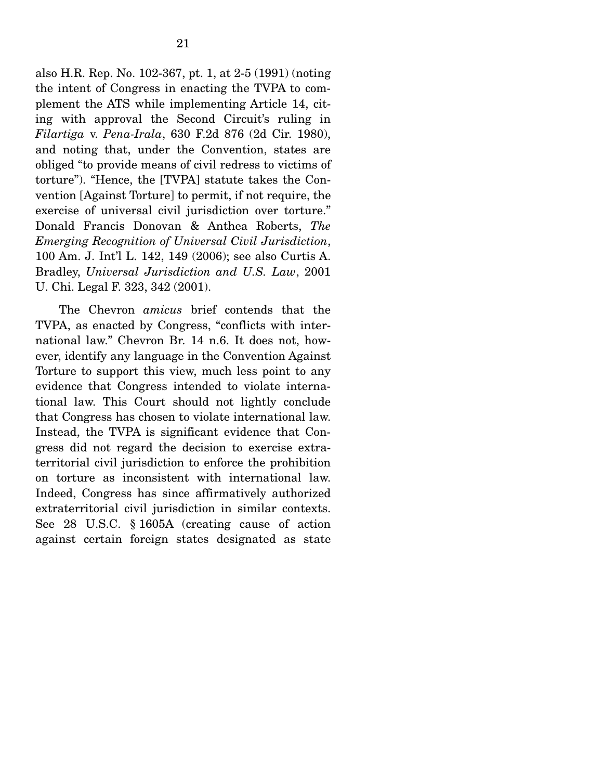also H.R. Rep. No. 102-367, pt. 1, at 2-5 (1991) (noting the intent of Congress in enacting the TVPA to complement the ATS while implementing Article 14, citing with approval the Second Circuit's ruling in *Filartiga* v. *Pena-Irala*, 630 F.2d 876 (2d Cir. 1980), and noting that, under the Convention, states are obliged "to provide means of civil redress to victims of torture"). "Hence, the [TVPA] statute takes the Convention [Against Torture] to permit, if not require, the exercise of universal civil jurisdiction over torture." Donald Francis Donovan & Anthea Roberts, *The Emerging Recognition of Universal Civil Jurisdiction*, 100 Am. J. Int'l L. 142, 149 (2006); see also Curtis A. Bradley, *Universal Jurisdiction and U.S. Law*, 2001 U. Chi. Legal F. 323, 342 (2001).

 The Chevron *amicus* brief contends that the TVPA, as enacted by Congress, "conflicts with international law." Chevron Br. 14 n.6. It does not, however, identify any language in the Convention Against Torture to support this view, much less point to any evidence that Congress intended to violate international law. This Court should not lightly conclude that Congress has chosen to violate international law. Instead, the TVPA is significant evidence that Congress did not regard the decision to exercise extraterritorial civil jurisdiction to enforce the prohibition on torture as inconsistent with international law. Indeed, Congress has since affirmatively authorized extraterritorial civil jurisdiction in similar contexts. See 28 U.S.C. § 1605A (creating cause of action against certain foreign states designated as state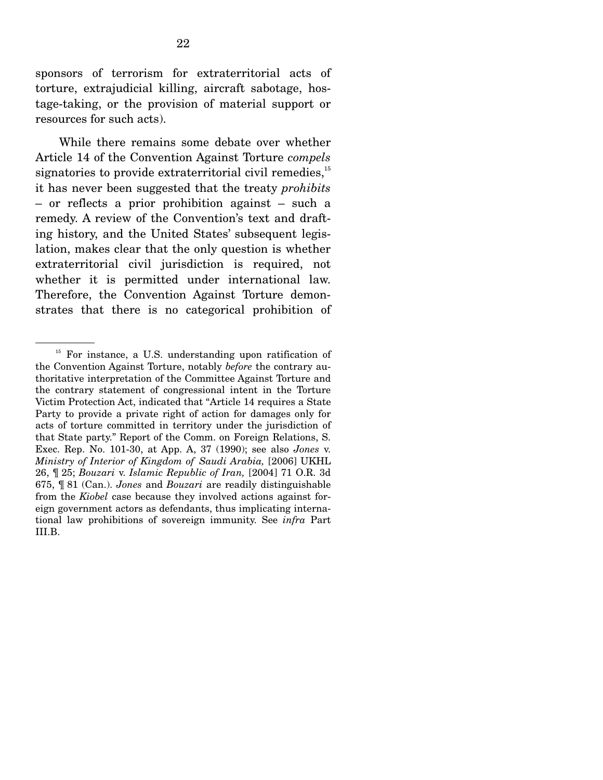sponsors of terrorism for extraterritorial acts of torture, extrajudicial killing, aircraft sabotage, hostage-taking, or the provision of material support or resources for such acts).

 While there remains some debate over whether Article 14 of the Convention Against Torture *compels* signatories to provide extraterritorial civil remedies, $^{15}$ it has never been suggested that the treaty *prohibits* – or reflects a prior prohibition against – such a remedy. A review of the Convention's text and drafting history, and the United States' subsequent legislation, makes clear that the only question is whether extraterritorial civil jurisdiction is required, not whether it is permitted under international law. Therefore, the Convention Against Torture demonstrates that there is no categorical prohibition of

<sup>&</sup>lt;sup>15</sup> For instance, a U.S. understanding upon ratification of the Convention Against Torture, notably *before* the contrary authoritative interpretation of the Committee Against Torture and the contrary statement of congressional intent in the Torture Victim Protection Act, indicated that "Article 14 requires a State Party to provide a private right of action for damages only for acts of torture committed in territory under the jurisdiction of that State party." Report of the Comm. on Foreign Relations, S. Exec. Rep. No. 101-30, at App. A, 37 (1990); see also *Jones* v. *Ministry of Interior of Kingdom of Saudi Arabia,* [2006] UKHL 26, ¶ 25; *Bouzari* v. *Islamic Republic of Iran,* [2004] 71 O.R. 3d 675, ¶ 81 (Can.). *Jones* and *Bouzari* are readily distinguishable from the *Kiobel* case because they involved actions against foreign government actors as defendants, thus implicating international law prohibitions of sovereign immunity. See *infra* Part III.B.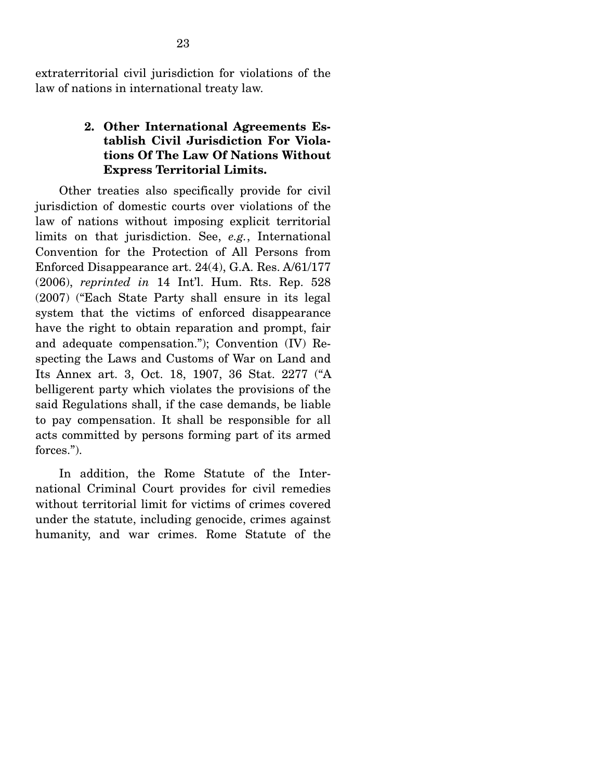extraterritorial civil jurisdiction for violations of the law of nations in international treaty law.

#### **2. Other International Agreements Establish Civil Jurisdiction For Violations Of The Law Of Nations Without Express Territorial Limits.**

Other treaties also specifically provide for civil jurisdiction of domestic courts over violations of the law of nations without imposing explicit territorial limits on that jurisdiction. See, *e.g.*, International Convention for the Protection of All Persons from Enforced Disappearance art. 24(4), G.A. Res. A/61/177 (2006), *reprinted in* 14 Int'l. Hum. Rts. Rep. 528 (2007) ("Each State Party shall ensure in its legal system that the victims of enforced disappearance have the right to obtain reparation and prompt, fair and adequate compensation."); Convention (IV) Respecting the Laws and Customs of War on Land and Its Annex art. 3, Oct. 18, 1907, 36 Stat. 2277 ("A belligerent party which violates the provisions of the said Regulations shall, if the case demands, be liable to pay compensation. It shall be responsible for all acts committed by persons forming part of its armed forces.").

 In addition, the Rome Statute of the International Criminal Court provides for civil remedies without territorial limit for victims of crimes covered under the statute, including genocide, crimes against humanity, and war crimes. Rome Statute of the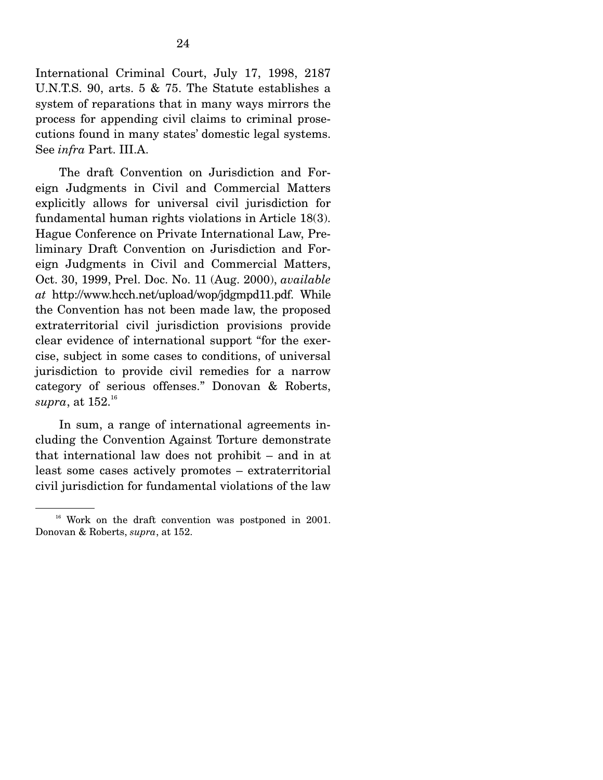International Criminal Court, July 17, 1998, 2187 U.N.T.S. 90, arts. 5 & 75. The Statute establishes a system of reparations that in many ways mirrors the process for appending civil claims to criminal prosecutions found in many states' domestic legal systems. See *infra* Part. III.A.

 The draft Convention on Jurisdiction and Foreign Judgments in Civil and Commercial Matters explicitly allows for universal civil jurisdiction for fundamental human rights violations in Article 18(3). Hague Conference on Private International Law, Preliminary Draft Convention on Jurisdiction and Foreign Judgments in Civil and Commercial Matters, Oct. 30, 1999, Prel. Doc. No. 11 (Aug. 2000), *available at* http://www.hcch.net/upload/wop/jdgmpd11.pdf. While the Convention has not been made law, the proposed extraterritorial civil jurisdiction provisions provide clear evidence of international support "for the exercise, subject in some cases to conditions, of universal jurisdiction to provide civil remedies for a narrow category of serious offenses." Donovan & Roberts,  $supra,$  at  $152.^{\scriptscriptstyle 16}$ 

 In sum, a range of international agreements including the Convention Against Torture demonstrate that international law does not prohibit – and in at least some cases actively promotes – extraterritorial civil jurisdiction for fundamental violations of the law

<sup>&</sup>lt;sup>16</sup> Work on the draft convention was postponed in 2001. Donovan & Roberts, *supra*, at 152.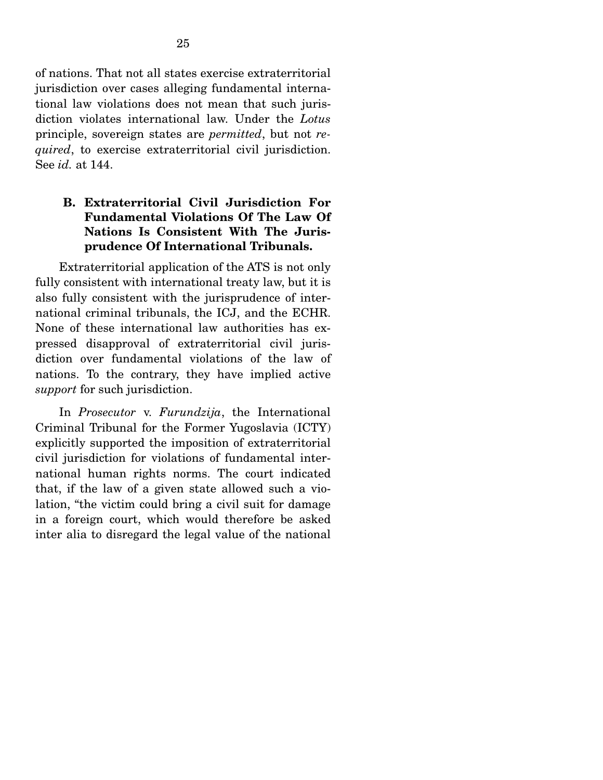of nations. That not all states exercise extraterritorial jurisdiction over cases alleging fundamental international law violations does not mean that such jurisdiction violates international law. Under the *Lotus* principle, sovereign states are *permitted*, but not *required*, to exercise extraterritorial civil jurisdiction. See *id.* at 144.

### **B. Extraterritorial Civil Jurisdiction For Fundamental Violations Of The Law Of Nations Is Consistent With The Jurisprudence Of International Tribunals.**

 Extraterritorial application of the ATS is not only fully consistent with international treaty law, but it is also fully consistent with the jurisprudence of international criminal tribunals, the ICJ, and the ECHR. None of these international law authorities has expressed disapproval of extraterritorial civil jurisdiction over fundamental violations of the law of nations. To the contrary, they have implied active *support* for such jurisdiction.

 In *Prosecutor* v. *Furundzija*, the International Criminal Tribunal for the Former Yugoslavia (ICTY) explicitly supported the imposition of extraterritorial civil jurisdiction for violations of fundamental international human rights norms. The court indicated that, if the law of a given state allowed such a violation, "the victim could bring a civil suit for damage in a foreign court, which would therefore be asked inter alia to disregard the legal value of the national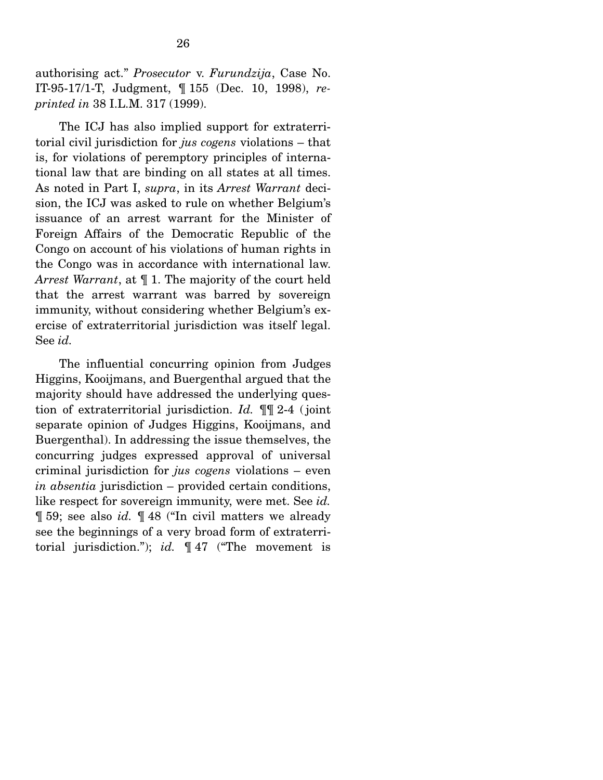authorising act." *Prosecutor* v. *Furundzija*, Case No. IT-95-17/1-T, Judgment, ¶ 155 (Dec. 10, 1998), *reprinted in* 38 I.L.M. 317 (1999).

 The ICJ has also implied support for extraterritorial civil jurisdiction for *jus cogens* violations – that is, for violations of peremptory principles of international law that are binding on all states at all times. As noted in Part I, *supra*, in its *Arrest Warrant* decision, the ICJ was asked to rule on whether Belgium's issuance of an arrest warrant for the Minister of Foreign Affairs of the Democratic Republic of the Congo on account of his violations of human rights in the Congo was in accordance with international law. *Arrest Warrant*, at ¶ 1. The majority of the court held that the arrest warrant was barred by sovereign immunity, without considering whether Belgium's exercise of extraterritorial jurisdiction was itself legal. See *id.*

 The influential concurring opinion from Judges Higgins, Kooijmans, and Buergenthal argued that the majority should have addressed the underlying question of extraterritorial jurisdiction. *Id.* ¶¶ 2-4 ( joint separate opinion of Judges Higgins, Kooijmans, and Buergenthal). In addressing the issue themselves, the concurring judges expressed approval of universal criminal jurisdiction for *jus cogens* violations – even *in absentia* jurisdiction – provided certain conditions, like respect for sovereign immunity, were met. See *id.* ¶ 59; see also *id.* ¶ 48 ("In civil matters we already see the beginnings of a very broad form of extraterritorial jurisdiction."); *id.* ¶ 47 ("The movement is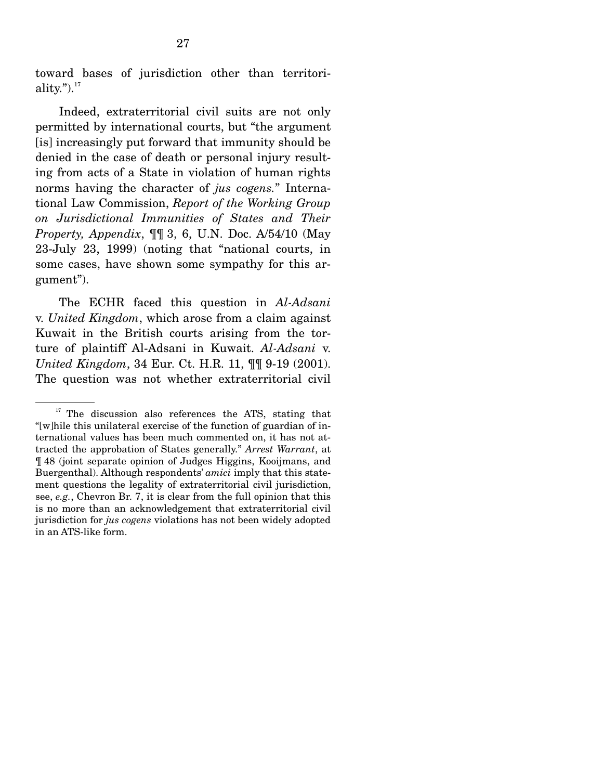toward bases of jurisdiction other than territoriality." $)^{17}$ 

 Indeed, extraterritorial civil suits are not only permitted by international courts, but "the argument [is] increasingly put forward that immunity should be denied in the case of death or personal injury resulting from acts of a State in violation of human rights norms having the character of *jus cogens.*" International Law Commission, *Report of the Working Group on Jurisdictional Immunities of States and Their Property, Appendix*, ¶¶ 3, 6, U.N. Doc. A/54/10 (May 23-July 23, 1999) (noting that "national courts, in some cases, have shown some sympathy for this argument").

 The ECHR faced this question in *Al-Adsani* v. *United Kingdom*, which arose from a claim against Kuwait in the British courts arising from the torture of plaintiff Al-Adsani in Kuwait. *Al-Adsani* v. *United Kingdom*, 34 Eur. Ct. H.R. 11, ¶¶ 9-19 (2001). The question was not whether extraterritorial civil

 $17$  The discussion also references the ATS, stating that "[w]hile this unilateral exercise of the function of guardian of international values has been much commented on, it has not attracted the approbation of States generally." *Arrest Warrant*, at ¶ 48 (joint separate opinion of Judges Higgins, Kooijmans, and Buergenthal). Although respondents' *amici* imply that this statement questions the legality of extraterritorial civil jurisdiction, see, *e.g.*, Chevron Br. 7, it is clear from the full opinion that this is no more than an acknowledgement that extraterritorial civil jurisdiction for *jus cogens* violations has not been widely adopted in an ATS-like form.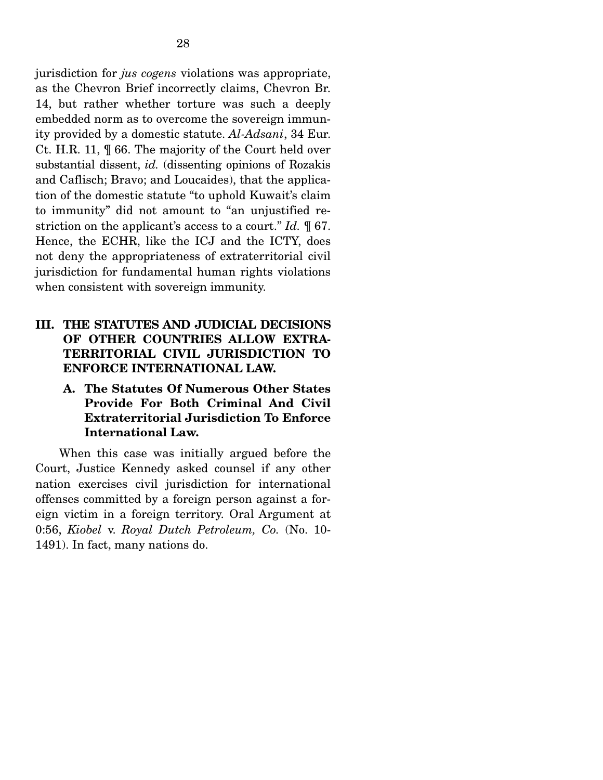jurisdiction for *jus cogens* violations was appropriate, as the Chevron Brief incorrectly claims, Chevron Br. 14, but rather whether torture was such a deeply embedded norm as to overcome the sovereign immunity provided by a domestic statute. *Al-Adsani*, 34 Eur. Ct. H.R. 11, ¶ 66. The majority of the Court held over substantial dissent, *id.* (dissenting opinions of Rozakis and Caflisch; Bravo; and Loucaides), that the application of the domestic statute "to uphold Kuwait's claim to immunity" did not amount to "an unjustified restriction on the applicant's access to a court." *Id.* ¶ 67. Hence, the ECHR, like the ICJ and the ICTY, does not deny the appropriateness of extraterritorial civil jurisdiction for fundamental human rights violations when consistent with sovereign immunity.

### **III. THE STATUTES AND JUDICIAL DECISIONS OF OTHER COUNTRIES ALLOW EXTRA-TERRITORIAL CIVIL JURISDICTION TO ENFORCE INTERNATIONAL LAW.**

### **A. The Statutes Of Numerous Other States Provide For Both Criminal And Civil Extraterritorial Jurisdiction To Enforce International Law.**

 When this case was initially argued before the Court, Justice Kennedy asked counsel if any other nation exercises civil jurisdiction for international offenses committed by a foreign person against a foreign victim in a foreign territory. Oral Argument at 0:56, *Kiobel* v. *Royal Dutch Petroleum, Co.* (No. 10- 1491). In fact, many nations do.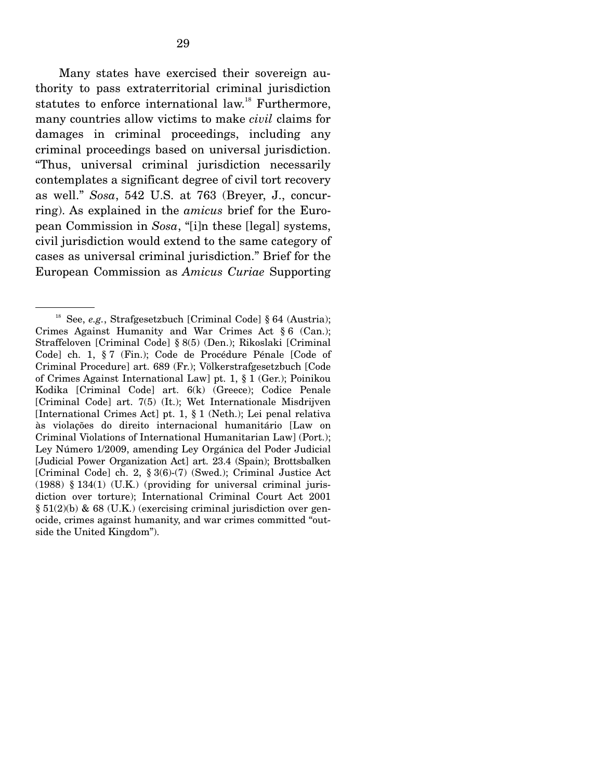Many states have exercised their sovereign authority to pass extraterritorial criminal jurisdiction statutes to enforce international law.<sup>18</sup> Furthermore, many countries allow victims to make *civil* claims for damages in criminal proceedings, including any criminal proceedings based on universal jurisdiction. "Thus, universal criminal jurisdiction necessarily contemplates a significant degree of civil tort recovery as well." *Sosa*, 542 U.S. at 763 (Breyer, J., concurring). As explained in the *amicus* brief for the European Commission in *Sosa*, "[i]n these [legal] systems, civil jurisdiction would extend to the same category of cases as universal criminal jurisdiction." Brief for the European Commission as *Amicus Curiae* Supporting

<sup>&</sup>lt;sup>18</sup> See, *e.g.*, Strafgesetzbuch [Criminal Code] § 64 (Austria); Crimes Against Humanity and War Crimes Act § 6 (Can.); Straffeloven [Criminal Code] § 8(5) (Den.); Rikoslaki [Criminal Code] ch. 1, § 7 (Fin.); Code de Procédure Pénale [Code of Criminal Procedure] art. 689 (Fr.); Völkerstrafgesetzbuch [Code of Crimes Against International Law] pt. 1, § 1 (Ger.); Poinikou Kodika [Criminal Code] art. 6(k) (Greece); Codice Penale [Criminal Code] art. 7(5) (It.); Wet Internationale Misdrijven [International Crimes Act] pt. 1, § 1 (Neth.); Lei penal relativa às violações do direito internacional humanitário [Law on Criminal Violations of International Humanitarian Law] (Port.); Ley Número 1/2009, amending Ley Orgánica del Poder Judicial [Judicial Power Organization Act] art. 23.4 (Spain); Brottsbalken [Criminal Code] ch. 2, § 3(6)-(7) (Swed.); Criminal Justice Act (1988) § 134(1) (U.K.) (providing for universal criminal jurisdiction over torture); International Criminal Court Act 2001 § 51(2)(b) & 68 (U.K.) (exercising criminal jurisdiction over genocide, crimes against humanity, and war crimes committed "outside the United Kingdom").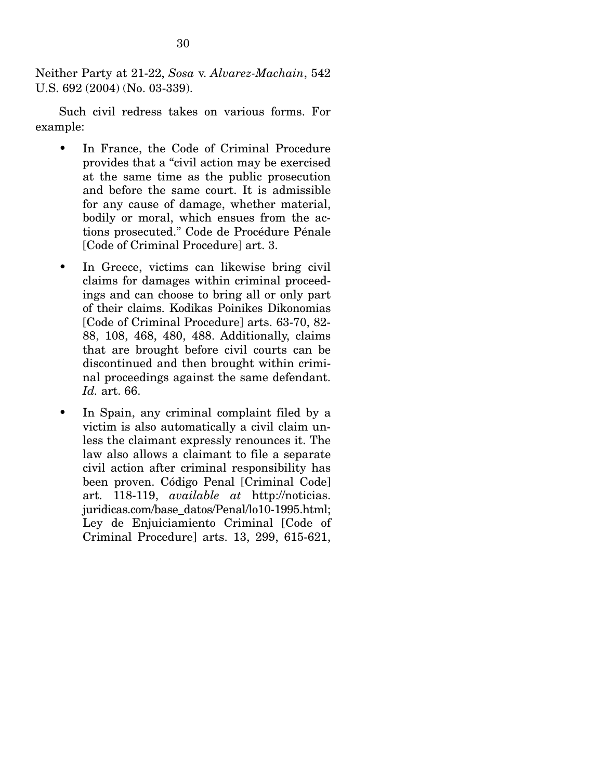Neither Party at 21-22, *Sosa* v. *Alvarez-Machain*, 542 U.S. 692 (2004) (No. 03-339).

 Such civil redress takes on various forms. For example:

- In France, the Code of Criminal Procedure provides that a "civil action may be exercised at the same time as the public prosecution and before the same court. It is admissible for any cause of damage, whether material, bodily or moral, which ensues from the actions prosecuted." Code de Procédure Pénale [Code of Criminal Procedure] art. 3.
- In Greece, victims can likewise bring civil claims for damages within criminal proceedings and can choose to bring all or only part of their claims. Kodikas Poinikes Dikonomias [Code of Criminal Procedure] arts. 63-70, 82- 88, 108, 468, 480, 488. Additionally, claims that are brought before civil courts can be discontinued and then brought within criminal proceedings against the same defendant. *Id.* art. 66.
- In Spain, any criminal complaint filed by a victim is also automatically a civil claim unless the claimant expressly renounces it. The law also allows a claimant to file a separate civil action after criminal responsibility has been proven. Código Penal [Criminal Code] art. 118-119, *available at* http://noticias. juridicas.com/base\_datos/Penal/lo10-1995.html; Ley de Enjuiciamiento Criminal [Code of Criminal Procedure] arts. 13, 299, 615-621,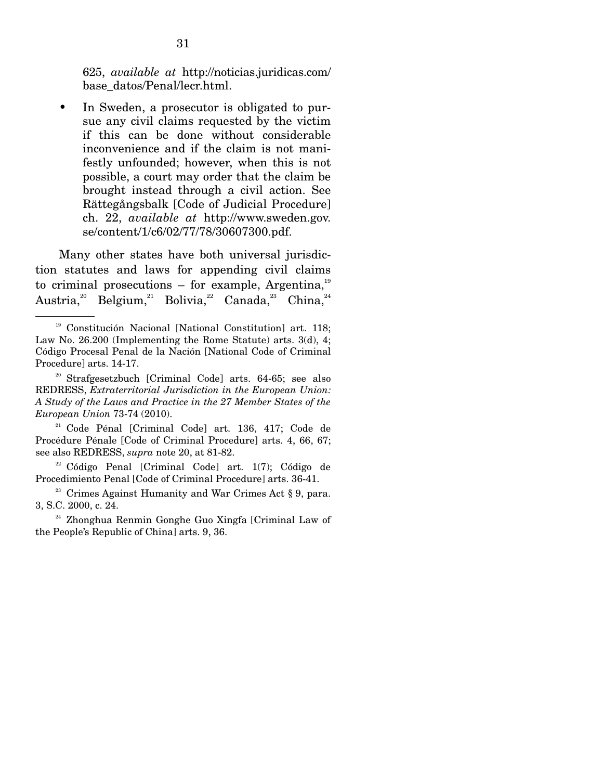625, *available at* http://noticias.juridicas.com/ base\_datos/Penal/lecr.html.

• In Sweden, a prosecutor is obligated to pursue any civil claims requested by the victim if this can be done without considerable inconvenience and if the claim is not manifestly unfounded; however, when this is not possible, a court may order that the claim be brought instead through a civil action. See Rättegångsbalk [Code of Judicial Procedure] ch. 22, *available at* http://www.sweden.gov. se/content/1/c6/02/77/78/30607300.pdf.

 Many other states have both universal jurisdiction statutes and laws for appending civil claims to criminal prosecutions – for example, Argentina, $^{19}$ Austria,<sup>20</sup> Belgium,<sup>21</sup> Bolivia,<sup>22</sup> Canada,<sup>23</sup> China,<sup>24</sup>

21 Code Pénal [Criminal Code] art. 136, 417; Code de Procédure Pénale [Code of Criminal Procedure] arts. 4, 66, 67; see also REDRESS, *supra* note 20, at 81-82.

 $22$  Código Penal [Criminal Code] art. 1(7); Código de Procedimiento Penal [Code of Criminal Procedure] arts. 36-41.<br><sup>23</sup> Crimes Against Humanity and War Crimes Act § 9, para.

3, S.C. 2000, c. 24.

24 Zhonghua Renmin Gonghe Guo Xingfa [Criminal Law of the People's Republic of China] arts. 9, 36.

<sup>&</sup>lt;sup>19</sup> Constitución Nacional [National Constitution] art. 118; Law No. 26.200 (Implementing the Rome Statute) arts. 3(d), 4; Código Procesal Penal de la Nación [National Code of Criminal Procedure] arts. 14-17.

<sup>20</sup> Strafgesetzbuch [Criminal Code] arts. 64-65; see also REDRESS, *Extraterritorial Jurisdiction in the European Union: A Study of the Laws and Practice in the 27 Member States of the European Union* 73-74 (2010).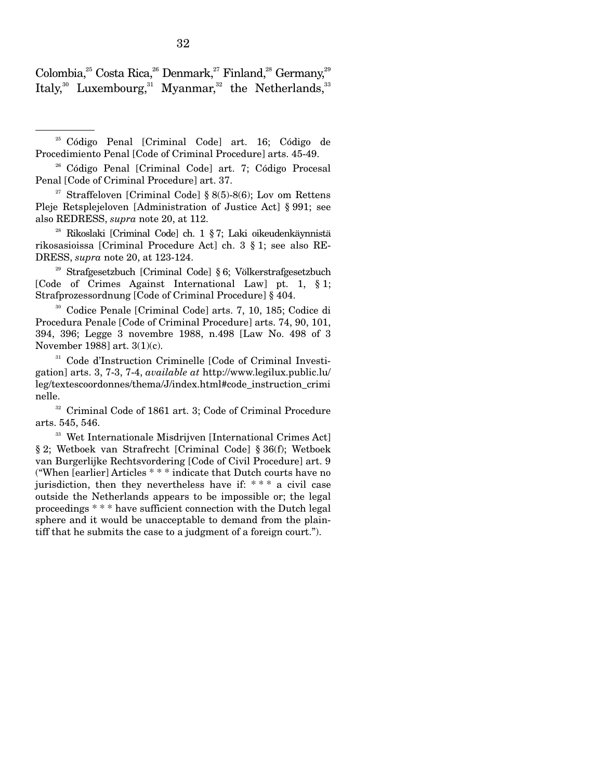Colombia,<sup>25</sup> Costa Rica,<sup>26</sup> Denmark,<sup>27</sup> Finland,<sup>28</sup> Germany,<sup>29</sup> Italy,<sup>30</sup> Luxembourg,<sup>31</sup> Myanmar,<sup>32</sup> the Netherlands,<sup>33</sup>

25 Código Penal [Criminal Code] art. 16; Código de Procedimiento Penal [Code of Criminal Procedure] arts. 45-49.

26 Código Penal [Criminal Code] art. 7; Código Procesal Penal [Code of Criminal Procedure] art. 37.

<sup>27</sup> Straffeloven [Criminal Code] § 8(5)-8(6); Lov om Rettens Pleje Retsplejeloven [Administration of Justice Act] § 991; see also REDRESS, *supra* note 20, at 112.

28 Rikoslaki [Criminal Code] ch. 1 § 7; Laki oikeudenkäynnistä rikosasioissa [Criminal Procedure Act] ch. 3 § 1; see also RE-DRESS, *supra* note 20, at 123-124.

29 Strafgesetzbuch [Criminal Code] § 6; Völkerstrafgesetzbuch [Code of Crimes Against International Law] pt. 1, § 1; Strafprozessordnung [Code of Criminal Procedure] § 404.

30 Codice Penale [Criminal Code] arts. 7, 10, 185; Codice di Procedura Penale [Code of Criminal Procedure] arts. 74, 90, 101, 394, 396; Legge 3 novembre 1988, n.498 [Law No. 498 of 3 November 1988] art. 3(1)(c).

31 Code d'Instruction Criminelle [Code of Criminal Investigation] arts. 3, 7-3, 7-4, *available at* http://www.legilux.public.lu/ leg/textescoordonnes/thema/J/index.html#code\_instruction\_crimi nelle.

32 Criminal Code of 1861 art. 3; Code of Criminal Procedure arts. 545, 546. 33 Wet Internationale Misdrijven [International Crimes Act]

§ 2; Wetboek van Strafrecht [Criminal Code] § 36(f); Wetboek van Burgerlijke Rechtsvordering [Code of Civil Procedure] art. 9 ("When [earlier] Articles \* \* \* indicate that Dutch courts have no jurisdiction, then they nevertheless have if: \* \* \* a civil case outside the Netherlands appears to be impossible or; the legal proceedings \* \* \* have sufficient connection with the Dutch legal sphere and it would be unacceptable to demand from the plaintiff that he submits the case to a judgment of a foreign court.").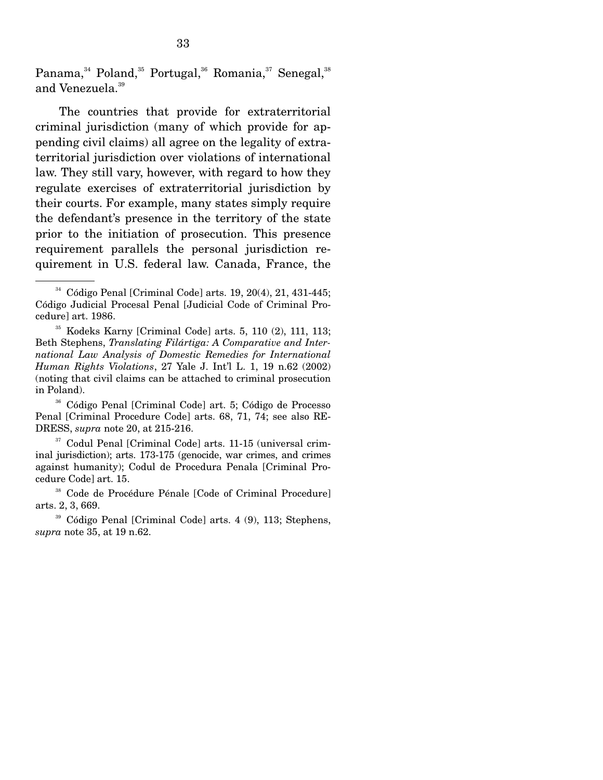Panama,<sup>34</sup> Poland,<sup>35</sup> Portugal,<sup>36</sup> Romania,<sup>37</sup> Senegal,<sup>38</sup> and Venezuela.<sup>39</sup>

 The countries that provide for extraterritorial criminal jurisdiction (many of which provide for appending civil claims) all agree on the legality of extraterritorial jurisdiction over violations of international law. They still vary, however, with regard to how they regulate exercises of extraterritorial jurisdiction by their courts. For example, many states simply require the defendant's presence in the territory of the state prior to the initiation of prosecution. This presence requirement parallels the personal jurisdiction requirement in U.S. federal law. Canada, France, the

 $34$  Código Penal [Criminal Code] arts. 19, 20(4), 21, 431-445; Código Judicial Procesal Penal [Judicial Code of Criminal Procedure] art. 1986.

<sup>35</sup> Kodeks Karny [Criminal Code] arts. 5, 110 (2), 111, 113; Beth Stephens, *Translating Filártiga: A Comparative and International Law Analysis of Domestic Remedies for International Human Rights Violations*, 27 Yale J. Int'l L. 1, 19 n.62 (2002) (noting that civil claims can be attached to criminal prosecution in Poland).

<sup>36</sup> Código Penal [Criminal Code] art. 5; Código de Processo Penal [Criminal Procedure Code] arts. 68, 71, 74; see also RE-DRESS, *supra* note 20, at 215-216.

<sup>37</sup> Codul Penal [Criminal Code] arts. 11-15 (universal criminal jurisdiction); arts. 173-175 (genocide, war crimes, and crimes against humanity); Codul de Procedura Penala [Criminal Procedure Code] art. 15.

<sup>38</sup> Code de Procédure Pénale [Code of Criminal Procedure] arts. 2, 3, 669.

<sup>39</sup> Código Penal [Criminal Code] arts. 4 (9), 113; Stephens, *supra* note 35, at 19 n.62.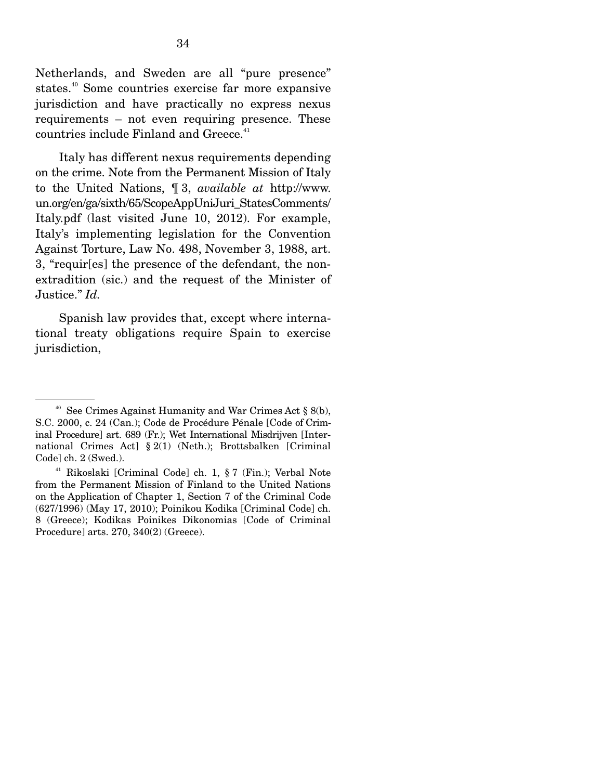Netherlands, and Sweden are all "pure presence" states.40 Some countries exercise far more expansive jurisdiction and have practically no express nexus requirements – not even requiring presence. These countries include Finland and Greece.<sup>41</sup>

 Italy has different nexus requirements depending on the crime. Note from the Permanent Mission of Italy to the United Nations, ¶ 3, *available at* http://www. un.org/en/ga/sixth/65/ScopeAppUniJuri\_StatesComments/ Italy.pdf (last visited June 10, 2012). For example, Italy's implementing legislation for the Convention Against Torture, Law No. 498, November 3, 1988, art. 3, "requir[es] the presence of the defendant, the nonextradition (sic.) and the request of the Minister of Justice." *Id.*

 Spanish law provides that, except where international treaty obligations require Spain to exercise jurisdiction,

<sup>&</sup>lt;sup>40</sup> See Crimes Against Humanity and War Crimes Act  $\S$  8(b), S.C. 2000, c. 24 (Can.); Code de Procédure Pénale [Code of Criminal Procedure] art. 689 (Fr.); Wet International Misdrijven [International Crimes Act] § 2(1) (Neth.); Brottsbalken [Criminal Code] ch. 2 (Swed.).

<sup>41</sup> Rikoslaki [Criminal Code] ch. 1, § 7 (Fin.); Verbal Note from the Permanent Mission of Finland to the United Nations on the Application of Chapter 1, Section 7 of the Criminal Code (627/1996) (May 17, 2010); Poinikou Kodika [Criminal Code] ch. 8 (Greece); Kodikas Poinikes Dikonomias [Code of Criminal Procedure] arts. 270, 340(2) (Greece).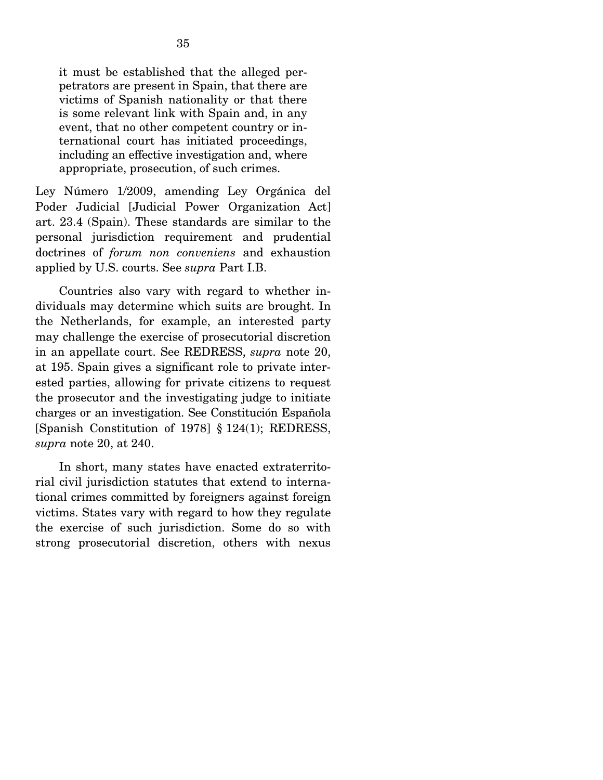it must be established that the alleged perpetrators are present in Spain, that there are victims of Spanish nationality or that there is some relevant link with Spain and, in any event, that no other competent country or international court has initiated proceedings, including an effective investigation and, where appropriate, prosecution, of such crimes.

Ley Número 1/2009, amending Ley Orgánica del Poder Judicial [Judicial Power Organization Act] art. 23.4 (Spain). These standards are similar to the personal jurisdiction requirement and prudential doctrines of *forum non conveniens* and exhaustion applied by U.S. courts. See *supra* Part I.B.

 Countries also vary with regard to whether individuals may determine which suits are brought. In the Netherlands, for example, an interested party may challenge the exercise of prosecutorial discretion in an appellate court. See REDRESS, *supra* note 20, at 195. Spain gives a significant role to private interested parties, allowing for private citizens to request the prosecutor and the investigating judge to initiate charges or an investigation. See Constitución Española [Spanish Constitution of 1978] § 124(1); REDRESS, *supra* note 20, at 240.

 In short, many states have enacted extraterritorial civil jurisdiction statutes that extend to international crimes committed by foreigners against foreign victims. States vary with regard to how they regulate the exercise of such jurisdiction. Some do so with strong prosecutorial discretion, others with nexus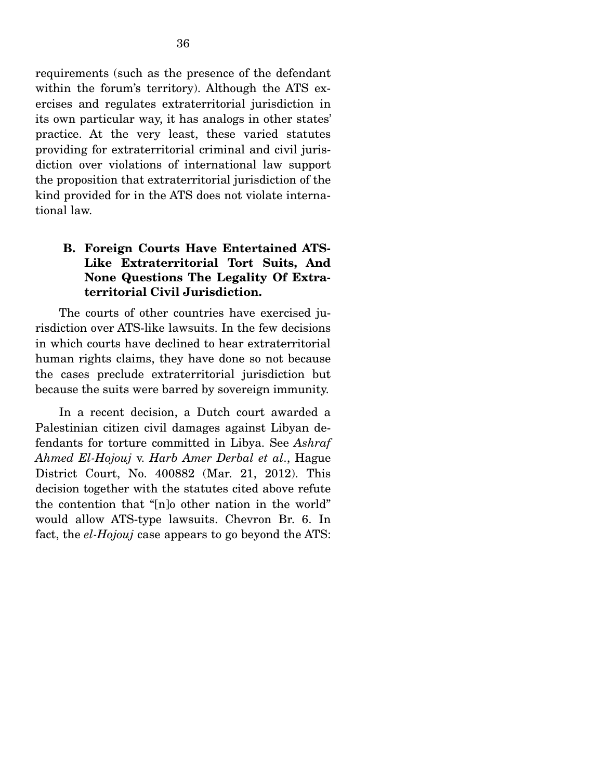requirements (such as the presence of the defendant within the forum's territory). Although the ATS exercises and regulates extraterritorial jurisdiction in its own particular way, it has analogs in other states' practice. At the very least, these varied statutes providing for extraterritorial criminal and civil jurisdiction over violations of international law support the proposition that extraterritorial jurisdiction of the kind provided for in the ATS does not violate international law.

### **B. Foreign Courts Have Entertained ATS-Like Extraterritorial Tort Suits, And None Questions The Legality Of Extraterritorial Civil Jurisdiction.**

 The courts of other countries have exercised jurisdiction over ATS-like lawsuits. In the few decisions in which courts have declined to hear extraterritorial human rights claims, they have done so not because the cases preclude extraterritorial jurisdiction but because the suits were barred by sovereign immunity.

 In a recent decision, a Dutch court awarded a Palestinian citizen civil damages against Libyan defendants for torture committed in Libya. See *Ashraf Ahmed El-Hojouj* v. *Harb Amer Derbal et al*., Hague District Court, No. 400882 (Mar. 21, 2012). This decision together with the statutes cited above refute the contention that "[n]o other nation in the world" would allow ATS-type lawsuits. Chevron Br. 6. In fact, the *el-Hojouj* case appears to go beyond the ATS: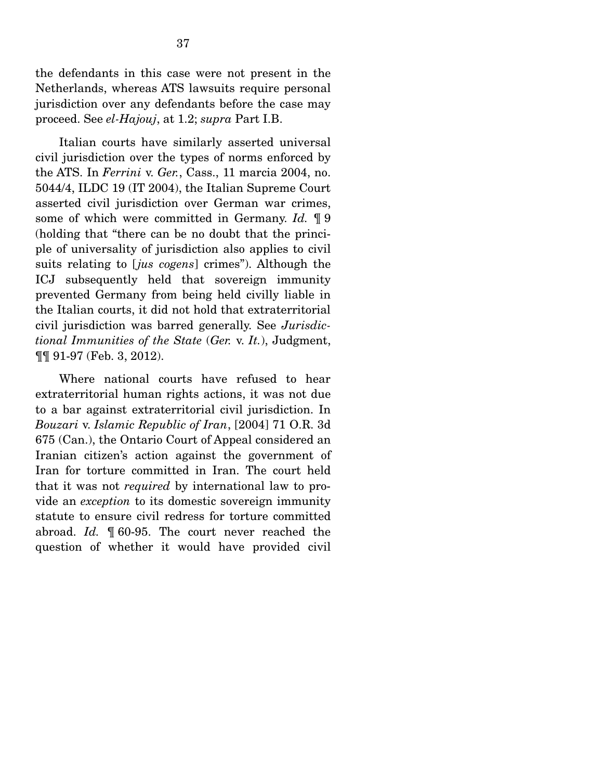the defendants in this case were not present in the Netherlands, whereas ATS lawsuits require personal jurisdiction over any defendants before the case may proceed. See *el-Hajouj*, at 1.2; *supra* Part I.B.

 Italian courts have similarly asserted universal civil jurisdiction over the types of norms enforced by the ATS. In *Ferrini* v. *Ger.*, Cass., 11 marcia 2004, no. 5044/4, ILDC 19 (IT 2004), the Italian Supreme Court asserted civil jurisdiction over German war crimes, some of which were committed in Germany. *Id.* ¶ 9 (holding that "there can be no doubt that the principle of universality of jurisdiction also applies to civil suits relating to [*jus cogens*] crimes"). Although the ICJ subsequently held that sovereign immunity prevented Germany from being held civilly liable in the Italian courts, it did not hold that extraterritorial civil jurisdiction was barred generally. See *Jurisdictional Immunities of the State* (*Ger.* v. *It.*), Judgment, ¶¶ 91-97 (Feb. 3, 2012).

 Where national courts have refused to hear extraterritorial human rights actions, it was not due to a bar against extraterritorial civil jurisdiction. In *Bouzari* v. *Islamic Republic of Iran*, [2004] 71 O.R. 3d 675 (Can.), the Ontario Court of Appeal considered an Iranian citizen's action against the government of Iran for torture committed in Iran. The court held that it was not *required* by international law to provide an *exception* to its domestic sovereign immunity statute to ensure civil redress for torture committed abroad. *Id.* ¶ 60-95. The court never reached the question of whether it would have provided civil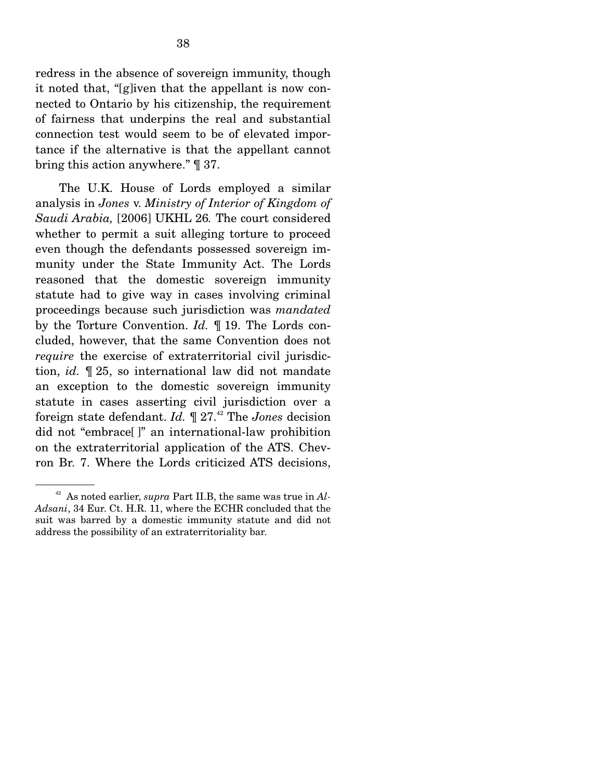redress in the absence of sovereign immunity, though it noted that, "[g]iven that the appellant is now connected to Ontario by his citizenship, the requirement of fairness that underpins the real and substantial connection test would seem to be of elevated importance if the alternative is that the appellant cannot bring this action anywhere." ¶ 37.

 The U.K. House of Lords employed a similar analysis in *Jones* v. *Ministry of Interior of Kingdom of Saudi Arabia,* [2006] UKHL 26*.* The court considered whether to permit a suit alleging torture to proceed even though the defendants possessed sovereign immunity under the State Immunity Act. The Lords reasoned that the domestic sovereign immunity statute had to give way in cases involving criminal proceedings because such jurisdiction was *mandated* by the Torture Convention. *Id.* ¶ 19. The Lords concluded, however, that the same Convention does not *require* the exercise of extraterritorial civil jurisdiction, *id.* ¶ 25, so international law did not mandate an exception to the domestic sovereign immunity statute in cases asserting civil jurisdiction over a foreign state defendant. *Id.* ¶ 27.42 The *Jones* decision did not "embrace[ ]" an international-law prohibition on the extraterritorial application of the ATS. Chevron Br. 7. Where the Lords criticized ATS decisions,

<sup>42</sup> As noted earlier, *supra* Part II.B, the same was true in *Al-Adsani*, 34 Eur. Ct. H.R. 11, where the ECHR concluded that the suit was barred by a domestic immunity statute and did not address the possibility of an extraterritoriality bar.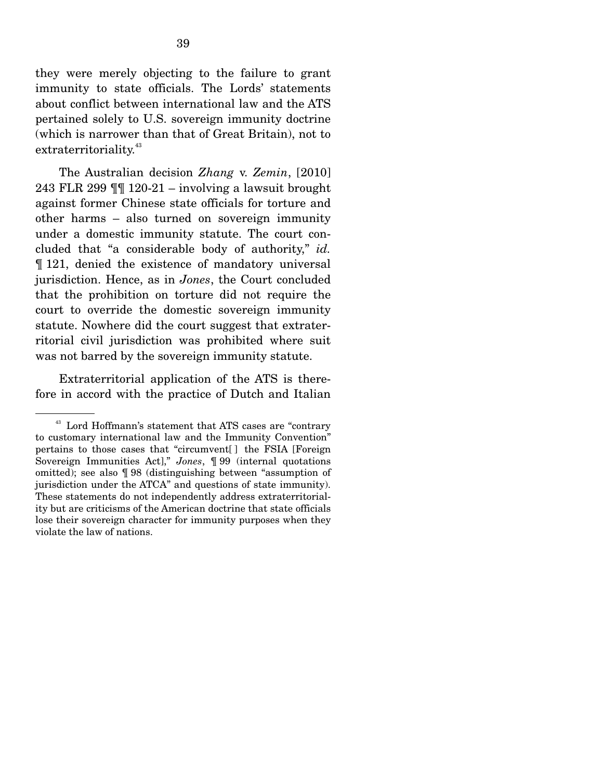they were merely objecting to the failure to grant immunity to state officials. The Lords' statements about conflict between international law and the ATS pertained solely to U.S. sovereign immunity doctrine (which is narrower than that of Great Britain), not to extraterritoriality.<sup>43</sup>

 The Australian decision *Zhang* v. *Zemin*, [2010] 243 FLR 299 ¶¶ 120-21 – involving a lawsuit brought against former Chinese state officials for torture and other harms – also turned on sovereign immunity under a domestic immunity statute. The court concluded that "a considerable body of authority," *id.* ¶ 121, denied the existence of mandatory universal jurisdiction. Hence, as in *Jones*, the Court concluded that the prohibition on torture did not require the court to override the domestic sovereign immunity statute. Nowhere did the court suggest that extraterritorial civil jurisdiction was prohibited where suit was not barred by the sovereign immunity statute.

 Extraterritorial application of the ATS is therefore in accord with the practice of Dutch and Italian

<sup>43</sup> Lord Hoffmann's statement that ATS cases are "contrary to customary international law and the Immunity Convention" pertains to those cases that "circumvent[ ] the FSIA [Foreign Sovereign Immunities Act]," *Jones*, ¶ 99 (internal quotations omitted); see also ¶ 98 (distinguishing between "assumption of jurisdiction under the ATCA" and questions of state immunity). These statements do not independently address extraterritoriality but are criticisms of the American doctrine that state officials lose their sovereign character for immunity purposes when they violate the law of nations.